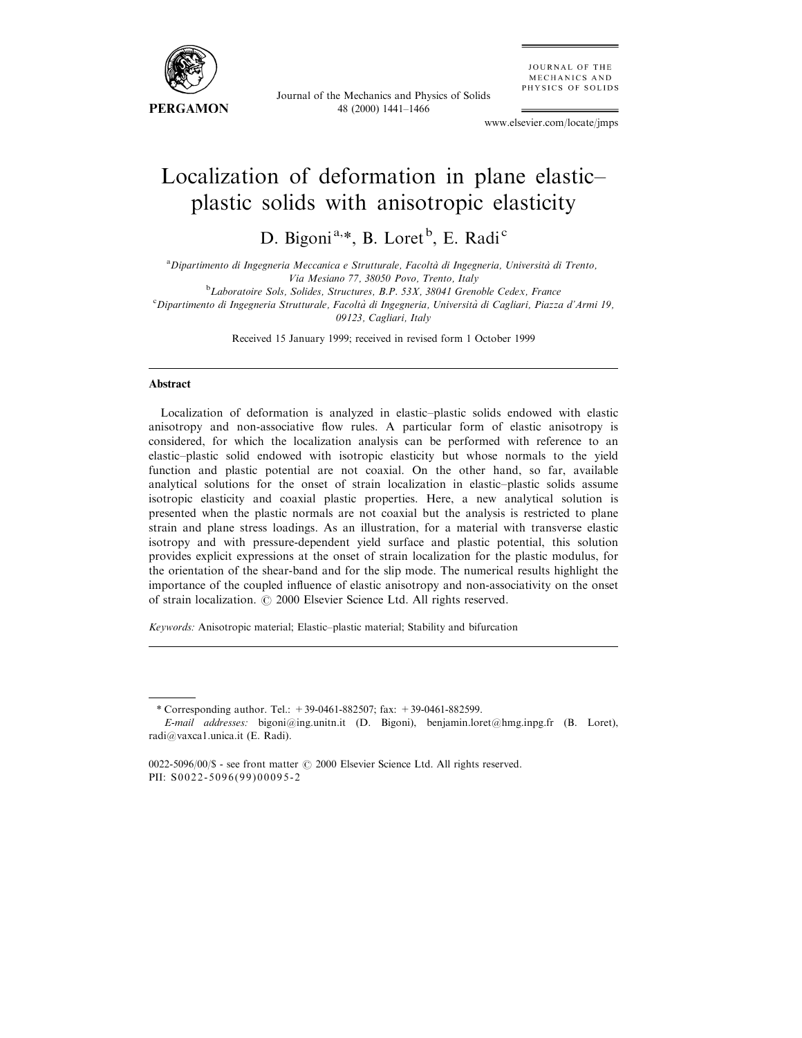

Journal of the Mechanics and Physics of Solids 48 (2000) 1441±1466

**JOURNAL OF THE** MECHANICS AND PHYSICS OF SOLIDS

www.elsevier.com/locate/jmps

# Localization of deformation in plane elasticplastic solids with anisotropic elasticity

D. Bigoni<sup>a,\*</sup>, B. Loret<sup>b</sup>, E. Radi<sup>c</sup>

<sup>a</sup> Dipartimento di Ingegneria Meccanica e Strutturale, Facoltà di Ingegneria, Università di Trento, Via Mesiano 77, 38050 Povo, Trento, Italy

<sup>b</sup>Laboratoire Sols, Solides, Structures, B.P. 53X, 38041 Grenoble Cedex, France

<sup>b</sup>Laboratoire Sols, Solides, Structures, B.P. 53X, 38041 Grenoble Cedex, France<br>Chipartimento di Ingegneria Strutturale, Facoltà di Ingegneria, Università di Cagliari, Piazza d'Armi 19, 09123, Cagliari, Italy

Received 15 January 1999; received in revised form 1 October 1999

## Abstract

Localization of deformation is analyzed in elastic-plastic solids endowed with elastic anisotropy and non-associative flow rules. A particular form of elastic anisotropy is considered, for which the localization analysis can be performed with reference to an elastic-plastic solid endowed with isotropic elasticity but whose normals to the yield function and plastic potential are not coaxial. On the other hand, so far, available analytical solutions for the onset of strain localization in elastic-plastic solids assume isotropic elasticity and coaxial plastic properties. Here, a new analytical solution is presented when the plastic normals are not coaxial but the analysis is restricted to plane strain and plane stress loadings. As an illustration, for a material with transverse elastic isotropy and with pressure-dependent yield surface and plastic potential, this solution provides explicit expressions at the onset of strain localization for the plastic modulus, for the orientation of the shear-band and for the slip mode. The numerical results highlight the importance of the coupled influence of elastic anisotropy and non-associativity on the onset of strain localization.  $\odot$  2000 Elsevier Science Ltd. All rights reserved.

Keywords: Anisotropic material; Elastic-plastic material; Stability and bifurcation

<sup>\*</sup> Corresponding author. Tel.:  $+39-0461-882507$ ; fax:  $+39-0461-882599$ .

E-mail addresses: bigoni@ing.unitn.it (D. Bigoni), benjamin.loret@hmg.inpg.fr (B. Loret), radi@vaxca1.unica.it (E. Radi).

<sup>0022-5096/00/\$ -</sup> see front matter  $\odot$  2000 Elsevier Science Ltd. All rights reserved. PII: S0022-5096(99)00095-2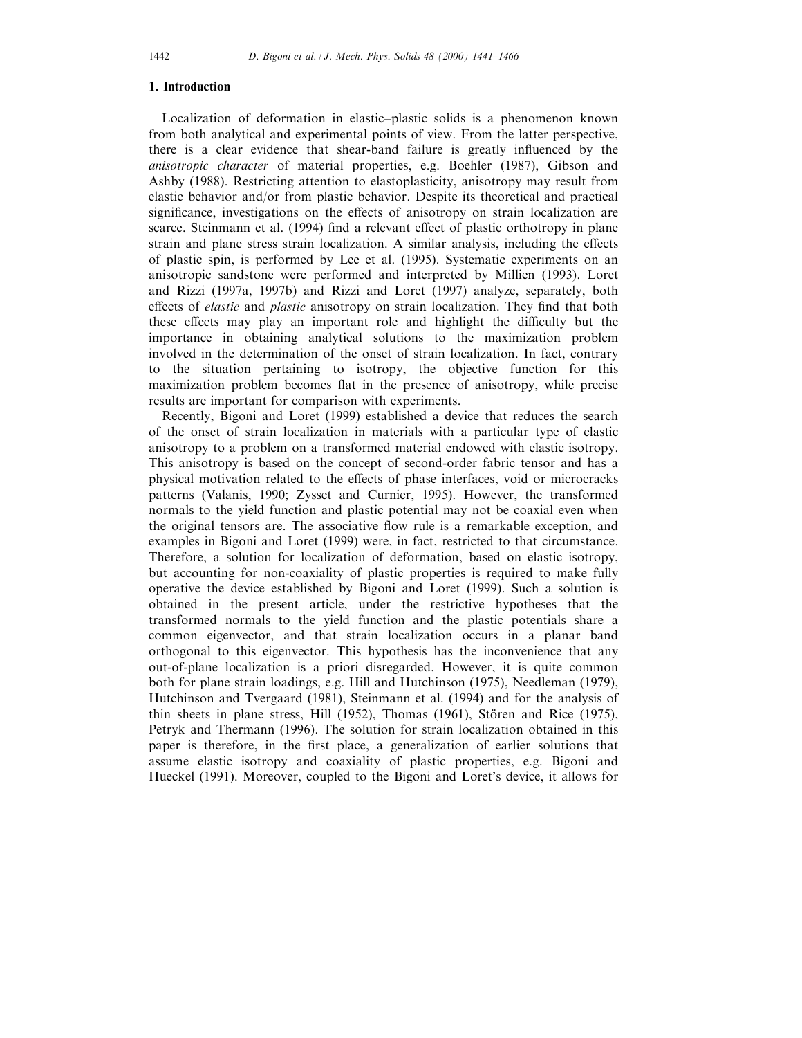## 1. Introduction

Localization of deformation in elastic-plastic solids is a phenomenon known from both analytical and experimental points of view. From the latter perspective, there is a clear evidence that shear-band failure is greatly influenced by the anisotropic character of material properties, e.g. Boehler (1987), Gibson and Ashby (1988). Restricting attention to elastoplasticity, anisotropy may result from elastic behavior and/or from plastic behavior. Despite its theoretical and practical significance, investigations on the effects of anisotropy on strain localization are scarce. Steinmann et al. (1994) find a relevant effect of plastic orthotropy in plane strain and plane stress strain localization. A similar analysis, including the effects of plastic spin, is performed by Lee et al. (1995). Systematic experiments on an anisotropic sandstone were performed and interpreted by Millien (1993). Loret and Rizzi (1997a, 1997b) and Rizzi and Loret (1997) analyze, separately, both effects of *elastic* and *plastic* anisotropy on strain localization. They find that both these effects may play an important role and highlight the difficulty but the importance in obtaining analytical solutions to the maximization problem involved in the determination of the onset of strain localization. In fact, contrary to the situation pertaining to isotropy, the objective function for this maximization problem becomes flat in the presence of anisotropy, while precise results are important for comparison with experiments.

Recently, Bigoni and Loret (1999) established a device that reduces the search of the onset of strain localization in materials with a particular type of elastic anisotropy to a problem on a transformed material endowed with elastic isotropy. This anisotropy is based on the concept of second-order fabric tensor and has a physical motivation related to the effects of phase interfaces, void or microcracks patterns (Valanis, 1990; Zysset and Curnier, 1995). However, the transformed normals to the yield function and plastic potential may not be coaxial even when the original tensors are. The associative flow rule is a remarkable exception, and examples in Bigoni and Loret (1999) were, in fact, restricted to that circumstance. Therefore, a solution for localization of deformation, based on elastic isotropy, but accounting for non-coaxiality of plastic properties is required to make fully operative the device established by Bigoni and Loret (1999). Such a solution is obtained in the present article, under the restrictive hypotheses that the transformed normals to the yield function and the plastic potentials share a common eigenvector, and that strain localization occurs in a planar band orthogonal to this eigenvector. This hypothesis has the inconvenience that any out-of-plane localization is a priori disregarded. However, it is quite common both for plane strain loadings, e.g. Hill and Hutchinson (1975), Needleman (1979), Hutchinson and Tvergaard (1981), Steinmann et al. (1994) and for the analysis of thin sheets in plane stress, Hill  $(1952)$ , Thomas  $(1961)$ , Stören and Rice  $(1975)$ , Petryk and Thermann (1996). The solution for strain localization obtained in this paper is therefore, in the first place, a generalization of earlier solutions that assume elastic isotropy and coaxiality of plastic properties, e.g. Bigoni and Hueckel (1991). Moreover, coupled to the Bigoni and Loret's device, it allows for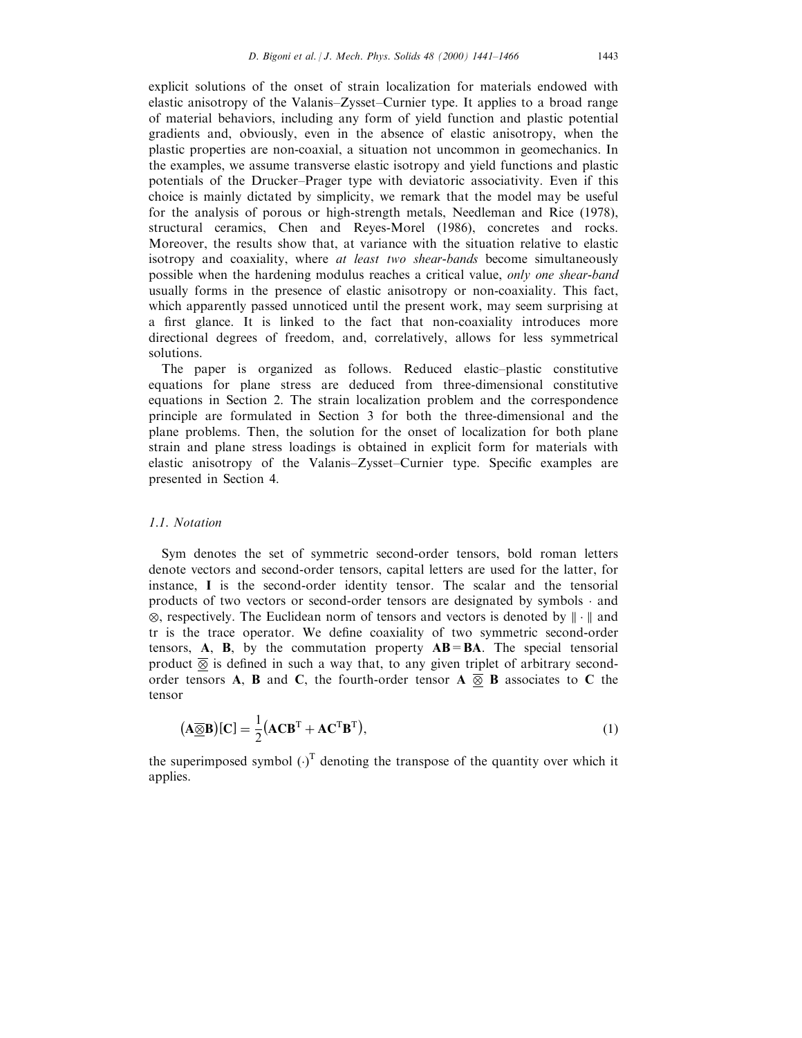explicit solutions of the onset of strain localization for materials endowed with elastic anisotropy of the Valanis-Zysset-Curnier type. It applies to a broad range of material behaviors, including any form of yield function and plastic potential gradients and, obviously, even in the absence of elastic anisotropy, when the plastic properties are non-coaxial, a situation not uncommon in geomechanics. In the examples, we assume transverse elastic isotropy and yield functions and plastic potentials of the Drucker-Prager type with deviatoric associativity. Even if this choice is mainly dictated by simplicity, we remark that the model may be useful for the analysis of porous or high-strength metals, Needleman and Rice (1978), structural ceramics, Chen and Reyes-Morel (1986), concretes and rocks. Moreover, the results show that, at variance with the situation relative to elastic isotropy and coaxiality, where at least two shear-bands become simultaneously possible when the hardening modulus reaches a critical value, only one shear-band usually forms in the presence of elastic anisotropy or non-coaxiality. This fact, which apparently passed unnoticed until the present work, may seem surprising at a first glance. It is linked to the fact that non-coaxiality introduces more directional degrees of freedom, and, correlatively, allows for less symmetrical solutions.

The paper is organized as follows. Reduced elastic-plastic constitutive equations for plane stress are deduced from three-dimensional constitutive equations in Section 2. The strain localization problem and the correspondence principle are formulated in Section 3 for both the three-dimensional and the plane problems. Then, the solution for the onset of localization for both plane strain and plane stress loadings is obtained in explicit form for materials with elastic anisotropy of the Valanis-Zysset-Curnier type. Specific examples are presented in Section 4.

## 1.1. Notation

Sym denotes the set of symmetric second-order tensors, bold roman letters denote vectors and second-order tensors, capital letters are used for the latter, for instance, I is the second-order identity tensor. The scalar and the tensorial products of two vectors or second-order tensors are designated by symbols  $\cdot$  and  $\otimes$ , respectively. The Euclidean norm of tensors and vectors is denoted by  $\|\cdot\|$  and tr is the trace operator. We define coaxiality of two symmetric second-order tensors,  $A$ ,  $B$ , by the commutation property  $AB = BA$ . The special tensorial product  $\overline{\otimes}$  is defined in such a way that, to any given triplet of arbitrary secondorder tensors A, B and C, the fourth-order tensor A  $\overline{\otimes}$  B associates to C the tensor

$$
(\mathbf{A}\overline{\otimes}\mathbf{B})[\mathbf{C}] = \frac{1}{2}(\mathbf{A}\mathbf{C}\mathbf{B}^{\mathrm{T}} + \mathbf{A}\mathbf{C}^{\mathrm{T}}\mathbf{B}^{\mathrm{T}}),\tag{1}
$$

the superimposed symbol  $(\cdot)^T$  denoting the transpose of the quantity over which it applies.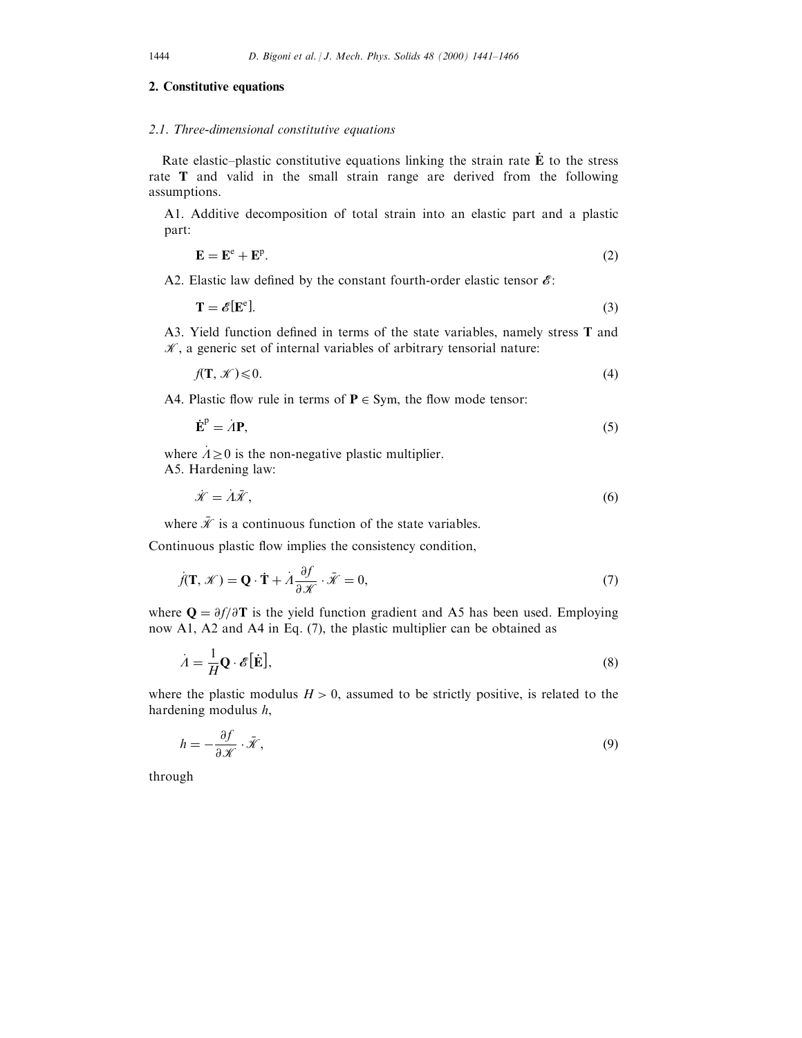# 2. Constitutive equations

# 2.1. Three-dimensional constitutive equations

Rate elastic-plastic constitutive equations linking the strain rate  $\dot{\mathbf{E}}$  to the stress rate  **and valid in the small strain range are derived from the following** assumptions.

A1. Additive decomposition of total strain into an elastic part and a plastic part:

$$
\mathbf{E} = \mathbf{E}^{\text{e}} + \mathbf{E}^{\text{p}}.\tag{2}
$$

A2. Elastic law defined by the constant fourth-order elastic tensor  $\mathscr{E}$ :

$$
\mathbf{T} = \mathscr{E}[\mathbf{E}^{\text{e}}].\tag{3}
$$

A3. Yield function defined in terms of the state variables, namely stress  $T$  and  $K$ , a generic set of internal variables of arbitrary tensorial nature:

$$
f(\mathbf{T}, \mathcal{K}) \leq 0. \tag{4}
$$

A4. Plastic flow rule in terms of  $P \in Sym$ , the flow mode tensor:

$$
\dot{\mathbf{E}}^{\mathrm{p}} = \dot{A}\mathbf{P},\tag{5}
$$

where  $A \ge 0$  is the non-negative plastic multiplier. A5. Hardening law:

$$
\dot{\mathcal{K}} = \dot{\Lambda}\bar{\mathcal{K}},\tag{6}
$$

where  $\bar{\mathcal{K}}$  is a continuous function of the state variables.

Continuous plastic flow implies the consistency condition,

$$
\dot{f}(\mathbf{T}, \mathcal{K}) = \mathbf{Q} \cdot \dot{\mathbf{T}} + \dot{A} \frac{\partial f}{\partial \mathcal{K}} \cdot \bar{\mathcal{K}} = 0,
$$
\n(7)

where  $Q = \partial f/\partial T$  is the yield function gradient and A5 has been used. Employing now A1, A2 and A4 in Eq. (7), the plastic multiplier can be obtained as

$$
\dot{A} = \frac{1}{H} \mathbf{Q} \cdot \mathscr{E}[\dot{\mathbf{E}}],\tag{8}
$$

where the plastic modulus  $H > 0$ , assumed to be strictly positive, is related to the hardening modulus h,

$$
h = -\frac{\partial f}{\partial \mathcal{K}} \cdot \bar{\mathcal{K}},\tag{9}
$$

through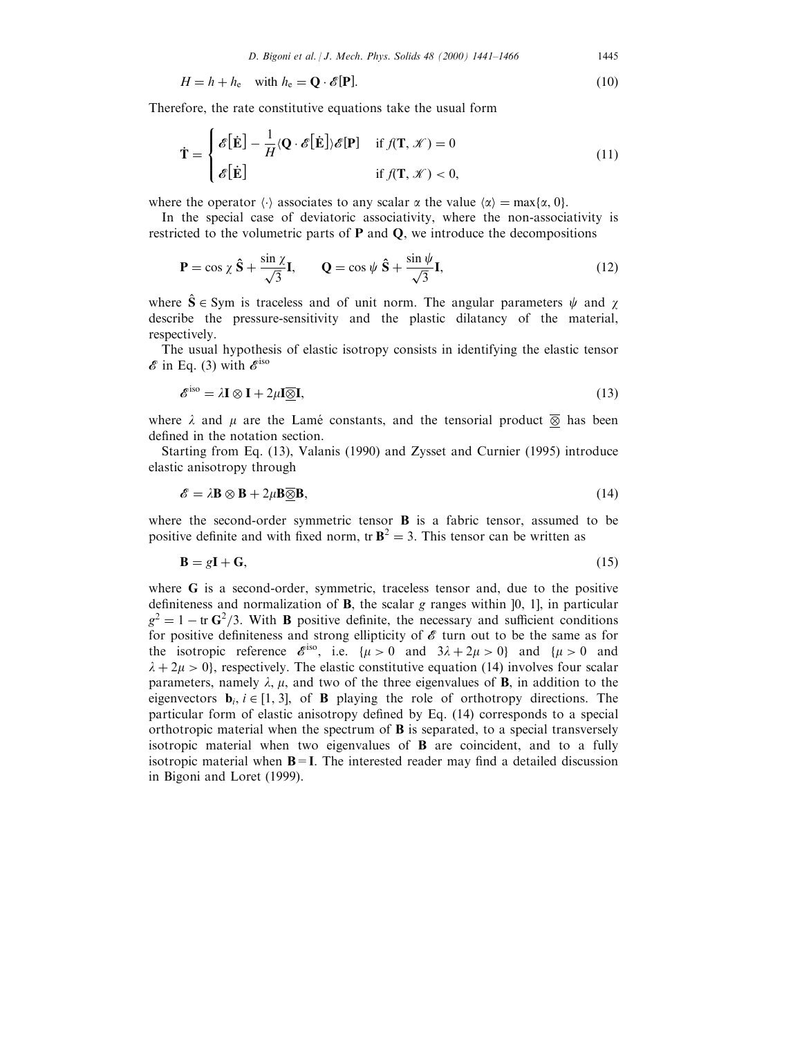$$
H = h + h_{e} \quad \text{with } h_{e} = \mathbf{Q} \cdot \mathscr{E}[\mathbf{P}]. \tag{10}
$$

Therefore, the rate constitutive equations take the usual form

$$
\dot{\mathbf{T}} = \begin{cases} \mathcal{E}[\dot{\mathbf{E}}] - \frac{1}{H} \langle \mathbf{Q} \cdot \mathcal{E}[\dot{\mathbf{E}}] \rangle \mathcal{E}[\mathbf{P}] & \text{if } f(\mathbf{T}, \mathcal{K}) = 0 \\ \mathcal{E}[\dot{\mathbf{E}}] & \text{if } f(\mathbf{T}, \mathcal{K}) < 0, \end{cases}
$$
(11)

where the operator  $\langle \cdot \rangle$  associates to any scalar  $\alpha$  the value  $\langle \alpha \rangle = \max\{\alpha, 0\}.$ 

In the special case of deviatoric associativity, where the non-associativity is restricted to the volumetric parts of  $P$  and  $Q$ , we introduce the decompositions

$$
\mathbf{P} = \cos \chi \, \hat{\mathbf{S}} + \frac{\sin \chi}{\sqrt{3}} \mathbf{I}, \qquad \mathbf{Q} = \cos \psi \, \hat{\mathbf{S}} + \frac{\sin \psi}{\sqrt{3}} \mathbf{I}, \tag{12}
$$

where  $\hat{S} \in Sym$  is traceless and of unit norm. The angular parameters  $\psi$  and  $\chi$ describe the pressure-sensitivity and the plastic dilatancy of the material, respectively.

The usual hypothesis of elastic isotropy consists in identifying the elastic tensor  $\mathscr E$  in Eq. (3) with  $\mathscr E^{\rm iso}$ 

$$
\mathcal{E}^{\text{iso}} = \lambda \mathbf{I} \otimes \mathbf{I} + 2\mu \mathbf{I} \overline{\otimes} \mathbf{I},\tag{13}
$$

where  $\lambda$  and  $\mu$  are the Lamé constants, and the tensorial product  $\overline{\otimes}$  has been defined in the notation section.

Starting from Eq. (13), Valanis (1990) and Zysset and Curnier (1995) introduce elastic anisotropy through

$$
\mathscr{E} = \lambda \mathbf{B} \otimes \mathbf{B} + 2\mu \mathbf{B} \overline{\otimes} \mathbf{B},\tag{14}
$$

where the second-order symmetric tensor  $\bf{B}$  is a fabric tensor, assumed to be positive definite and with fixed norm, tr  $\mathbf{B}^2 = 3$ . This tensor can be written as

$$
\mathbf{B} = g\mathbf{I} + \mathbf{G},\tag{15}
$$

where G is a second-order, symmetric, traceless tensor and, due to the positive definiteness and normalization of  $B$ , the scalar g ranges within [0, 1], in particular  $g^2 = 1 - \text{tr } G^2/3$ . With **B** positive definite, the necessary and sufficient conditions for positive definiteness and strong ellipticity of  $\mathscr E$  turn out to be the same as for the isotropic reference  $\mathscr{E}^{\text{iso}}$ , i.e.  $\{\mu > 0 \text{ and } 3\lambda + 2\mu > 0\}$  and  $\{\mu > 0 \text{ and }$  $\lambda + 2\mu > 0$ , respectively. The elastic constitutive equation (14) involves four scalar parameters, namely  $\lambda$ ,  $\mu$ , and two of the three eigenvalues of **B**, in addition to the eigenvectors  $\mathbf{b}_i$ ,  $i \in [1, 3]$ , of **B** playing the role of orthotropy directions. The particular form of elastic anisotropy defined by Eq.  $(14)$  corresponds to a special orthotropic material when the spectrum of  $\bf{B}$  is separated, to a special transversely isotropic material when two eigenvalues of B are coincident, and to a fully isotropic material when  $B = I$ . The interested reader may find a detailed discussion in Bigoni and Loret (1999).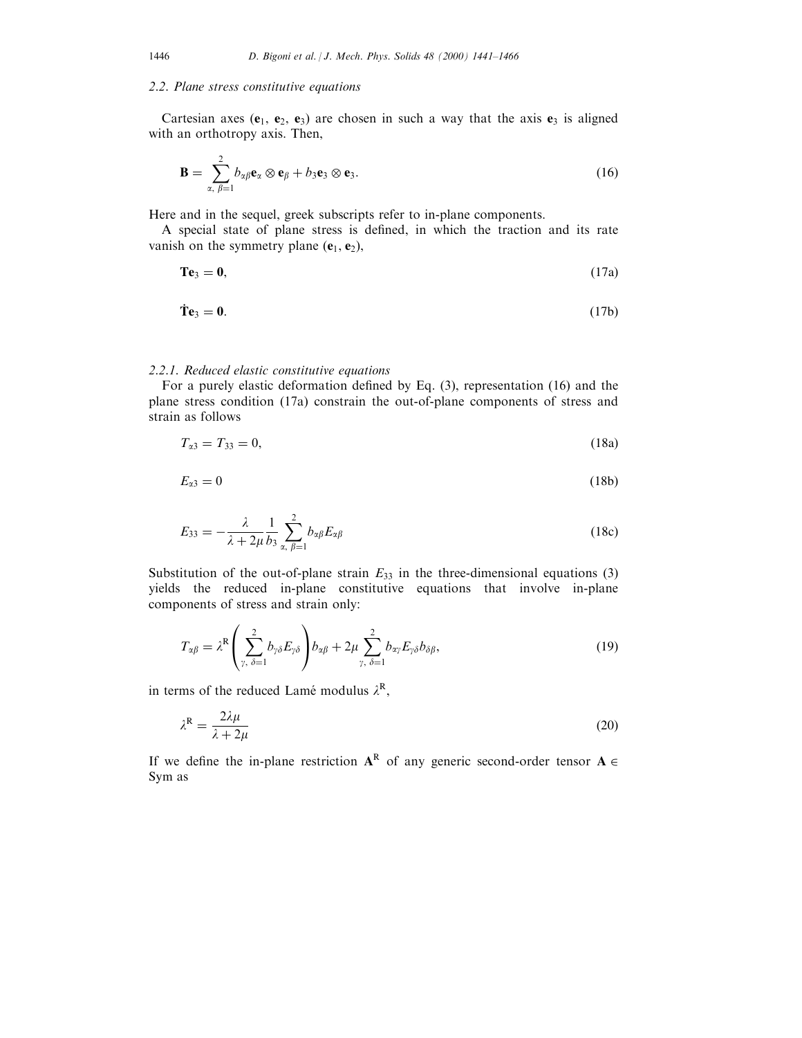# 2.2. Plane stress constitutive equations

Cartesian axes  $(e_1, e_2, e_3)$  are chosen in such a way that the axis  $e_3$  is aligned with an orthotropy axis. Then,

$$
\mathbf{B} = \sum_{\alpha, \beta=1}^{2} b_{\alpha\beta} \mathbf{e}_{\alpha} \otimes \mathbf{e}_{\beta} + b_3 \mathbf{e}_3 \otimes \mathbf{e}_3. \tag{16}
$$

Here and in the sequel, greek subscripts refer to in-plane components.

A special state of plane stress is defined, in which the traction and its rate vanish on the symmetry plane  $(e_1, e_2)$ ,

$$
\mathbf{T}\mathbf{e}_3 = \mathbf{0},\tag{17a}
$$

$$
\dot{\mathbf{T}}\mathbf{e}_3 = \mathbf{0}.\tag{17b}
$$

## 2.2.1. Reduced elastic constitutive equations

For a purely elastic deformation defined by Eq.  $(3)$ , representation  $(16)$  and the plane stress condition (17a) constrain the out-of-plane components of stress and strain as follows

$$
T_{\alpha 3} = T_{33} = 0,\tag{18a}
$$

$$
E_{\alpha 3} = 0 \tag{18b}
$$

$$
E_{33} = -\frac{\lambda}{\lambda + 2\mu} \frac{1}{b_3} \sum_{\alpha, \beta=1}^{2} b_{\alpha\beta} E_{\alpha\beta}
$$
 (18c)

Substitution of the out-of-plane strain  $E_{33}$  in the three-dimensional equations (3) yields the reduced in-plane constitutive equations that involve in-plane components of stress and strain only:

$$
T_{\alpha\beta} = \lambda^{\mathcal{R}} \left( \sum_{\gamma, \delta=1}^{2} b_{\gamma\delta} E_{\gamma\delta} \right) b_{\alpha\beta} + 2\mu \sum_{\gamma, \delta=1}^{2} b_{\alpha\gamma} E_{\gamma\delta} b_{\delta\beta}, \tag{19}
$$

in terms of the reduced Lamé modulus  $\lambda^R$ ,

$$
\lambda^{\mathcal{R}} = \frac{2\lambda\mu}{\lambda + 2\mu} \tag{20}
$$

If we define the in-plane restriction  $A^R$  of any generic second-order tensor  $A \in$ Sym as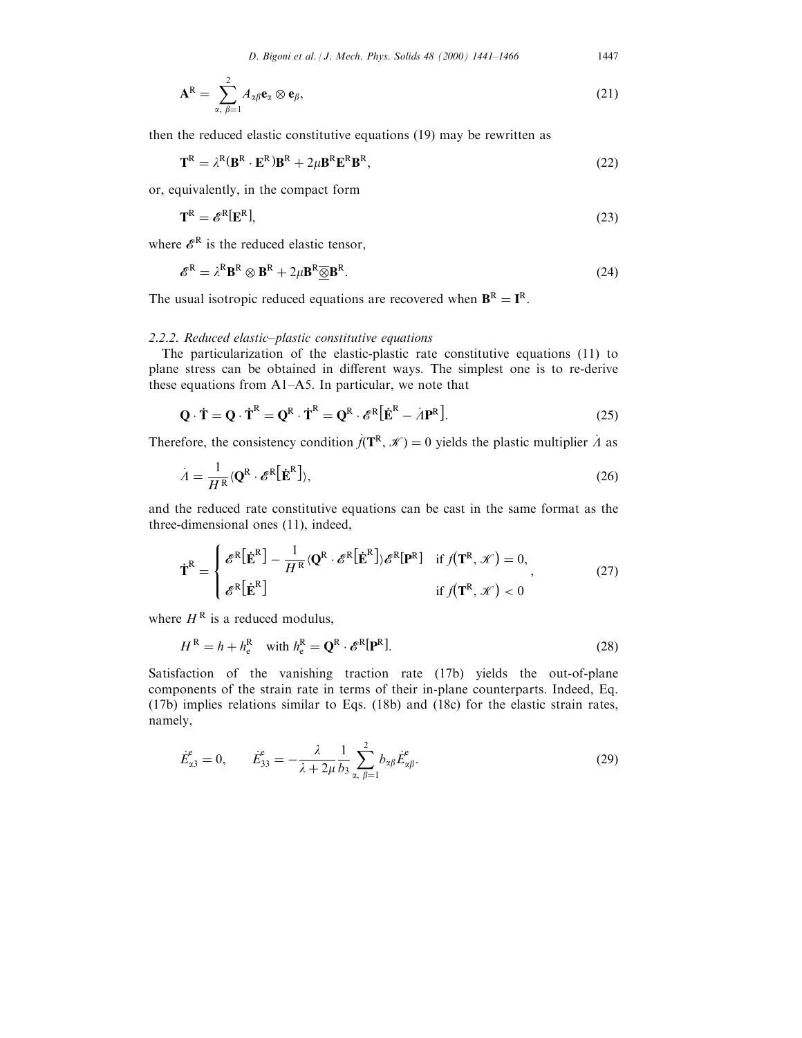$$
\mathbf{A}^{\mathrm{R}} = \sum_{\alpha, \beta=1}^{2} A_{\alpha\beta} \mathbf{e}_{\alpha} \otimes \mathbf{e}_{\beta}, \tag{21}
$$

then the reduced elastic constitutive equations (19) may be rewritten as

$$
\mathbf{T}^{\mathcal{R}} = \lambda^{\mathcal{R}} (\mathbf{B}^{\mathcal{R}} \cdot \mathbf{E}^{\mathcal{R}}) \mathbf{B}^{\mathcal{R}} + 2\mu \mathbf{B}^{\mathcal{R}} \mathbf{E}^{\mathcal{R}} \mathbf{B}^{\mathcal{R}},
$$
\n(22)

or, equivalently, in the compact form

$$
\mathbf{T}^{\mathcal{R}} = \mathscr{E}^{\mathcal{R}}[\mathbf{E}^{\mathcal{R}}],\tag{23}
$$

where  $\mathscr{E}^{\mathbb{R}}$  is the reduced elastic tensor,

$$
\mathcal{E}^{\mathbb{R}} = \lambda^{\mathbb{R}} \mathbf{B}^{\mathbb{R}} \otimes \mathbf{B}^{\mathbb{R}} + 2\mu \mathbf{B}^{\mathbb{R}} \underline{\otimes} \mathbf{B}^{\mathbb{R}}.
$$
 (24)

The usual isotropic reduced equations are recovered when  $\mathbf{B}^R = \mathbf{I}^R$ .

# 2.2.2. Reduced elastic-plastic constitutive equations

The particularization of the elastic-plastic rate constitutive equations (11) to plane stress can be obtained in different ways. The simplest one is to re-derive these equations from  $A1-A5$ . In particular, we note that

$$
\mathbf{Q} \cdot \dot{\mathbf{T}} = \mathbf{Q} \cdot \dot{\mathbf{T}}^{\mathsf{R}} = \mathbf{Q}^{\mathsf{R}} \cdot \dot{\mathbf{T}}^{\mathsf{R}} = \mathbf{Q}^{\mathsf{R}} \cdot \mathscr{E}^{\mathsf{R}} \big[ \dot{\mathbf{E}}^{\mathsf{R}} - A \mathbf{P}^{\mathsf{R}} \big]. \tag{25}
$$

Therefore, the consistency condition  $\dot{f}(\mathbf{T}^R, \mathcal{K}) = 0$  yields the plastic multiplier  $\dot{A}$  as

$$
\dot{A} = \frac{1}{H^R} \langle \mathbf{Q}^R \cdot \mathcal{E}^R \left[ \dot{\mathbf{E}}^R \right] \rangle, \tag{26}
$$

and the reduced rate constitutive equations can be cast in the same format as the three-dimensional ones (11), indeed,

$$
\dot{\mathbf{T}}^R = \begin{cases} \mathcal{E}^R [\dot{\mathbf{E}}^R] - \frac{1}{H^R} \langle \mathbf{Q}^R \cdot \mathcal{E}^R [\dot{\mathbf{E}}^R] \rangle \mathcal{E}^R [\mathbf{P}^R] & \text{if } f(\mathbf{T}^R, \mathcal{K}) = 0, \\ \mathcal{E}^R [\dot{\mathbf{E}}^R] & \text{if } f(\mathbf{T}^R, \mathcal{K}) < 0 \end{cases}
$$
(27)

where  $H^R$  is a reduced modulus,

$$
H^{R} = h + h_{e}^{R} \quad \text{with } h_{e}^{R} = \mathbf{Q}^{R} \cdot \mathscr{E}^{R}[\mathbf{P}^{R}].
$$
 (28)

Satisfaction of the vanishing traction rate (17b) yields the out-of-plane components of the strain rate in terms of their in-plane counterparts. Indeed, Eq. (17b) implies relations similar to Eqs. (18b) and (18c) for the elastic strain rates, namely,

$$
\dot{E}_{\alpha 3}^{\varepsilon} = 0, \qquad \dot{E}_{33}^{\varepsilon} = -\frac{\lambda}{\lambda + 2\mu} \frac{1}{b_3} \sum_{\alpha, \beta = 1}^{2} b_{\alpha \beta} \dot{E}_{\alpha \beta}^{\varepsilon}.
$$
 (29)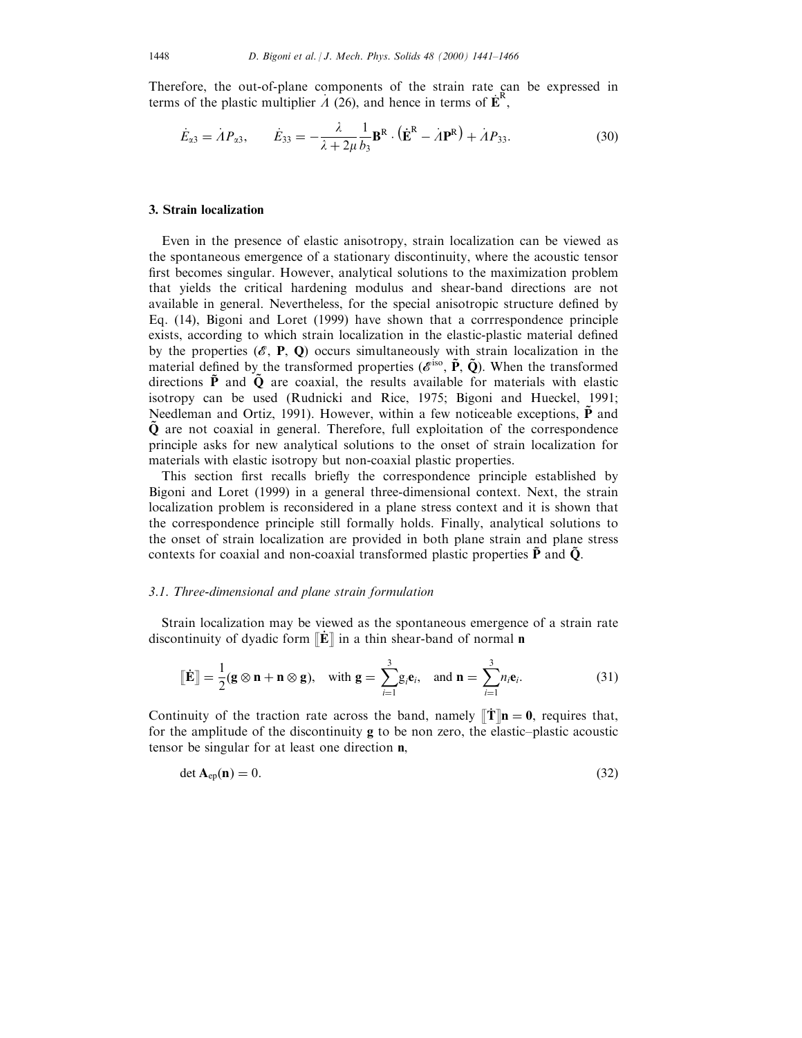Therefore, the out-of-plane components of the strain rate can be expressed in terms of the plastic multiplier  $\vec{A}$  (26), and hence in terms of  $\vec{E}^R$ ,

$$
\dot{E}_{\alpha 3} = \dot{A} P_{\alpha 3}, \qquad \dot{E}_{33} = -\frac{\lambda}{\lambda + 2\mu} \frac{1}{b_3} \mathbf{B}^R \cdot (\dot{\mathbf{E}}^R - \dot{A} \mathbf{P}^R) + \dot{A} P_{33}.
$$
 (30)

## 3. Strain localization

Even in the presence of elastic anisotropy, strain localization can be viewed as the spontaneous emergence of a stationary discontinuity, where the acoustic tensor first becomes singular. However, analytical solutions to the maximization problem that yields the critical hardening modulus and shear-band directions are not available in general. Nevertheless, for the special anisotropic structure defined by Eq. (14), Bigoni and Loret (1999) have shown that a corrrespondence principle exists, according to which strain localization in the elastic-plastic material defined by the properties  $(\mathscr{E}, P, Q)$  occurs simultaneously with strain localization in the material defined by the transformed properties ( $\mathscr{E}^{\text{iso}}$ ,  $\tilde{P}$ ,  $\tilde{Q}$ ). When the transformed directions  $\tilde{P}$  and  $\tilde{Q}$  are coaxial, the results available for materials with elastic isotropy can be used (Rudnicki and Rice, 1975; Bigoni and Hueckel, 1991; Needleman and Ortiz, 1991). However, within a few noticeable exceptions,  $\tilde{P}$  and  $\tilde{Q}$  are not coaxial in general. Therefore, full exploitation of the correspondence principle asks for new analytical solutions to the onset of strain localization for materials with elastic isotropy but non-coaxial plastic properties.

This section first recalls briefly the correspondence principle established by Bigoni and Loret (1999) in a general three-dimensional context. Next, the strain localization problem is reconsidered in a plane stress context and it is shown that the correspondence principle still formally holds. Finally, analytical solutions to the onset of strain localization are provided in both plane strain and plane stress contexts for coaxial and non-coaxial transformed plastic properties  $\tilde{P}$  and  $\tilde{Q}$ .

## 3.1. Three-dimensional and plane strain formulation

Strain localization may be viewed as the spontaneous emergence of a strain rate discontinuity of dyadic form  $\mathbb{E}$  in a thin shear-band of normal **n** 

$$
\llbracket \dot{\mathbf{E}} \rrbracket = \frac{1}{2} (\mathbf{g} \otimes \mathbf{n} + \mathbf{n} \otimes \mathbf{g}), \quad \text{with } \mathbf{g} = \sum_{i=1}^{3} g_i \mathbf{e}_i, \quad \text{and } \mathbf{n} = \sum_{i=1}^{3} n_i \mathbf{e}_i.
$$
 (31)

Continuity of the traction rate across the band, namely  $\|\mathbf{T}\| \mathbf{n} = \mathbf{0}$ , requires that, for the amplitude of the discontinuity  $g$  to be non zero, the elastic-plastic acoustic tensor be singular for at least one direction n,

$$
\det \mathbf{A}_{ep}(\mathbf{n}) = 0. \tag{32}
$$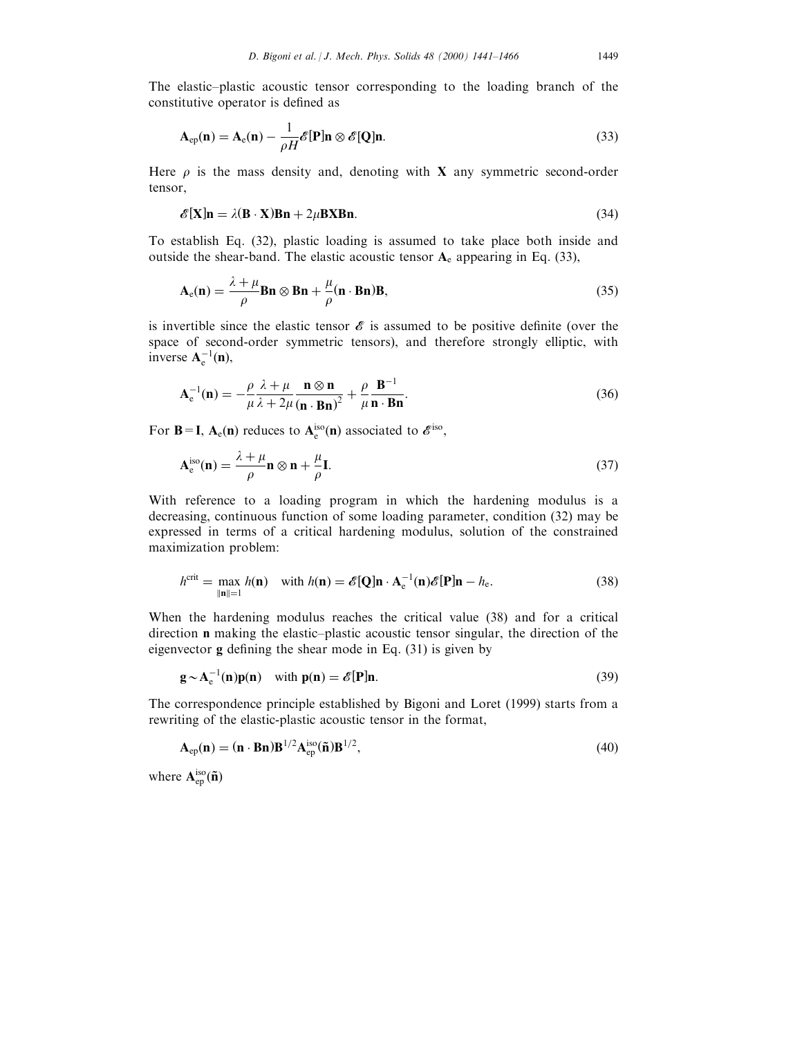The elastic-plastic acoustic tensor corresponding to the loading branch of the constitutive operator is defined as

$$
\mathbf{A}_{ep}(\mathbf{n}) = \mathbf{A}_e(\mathbf{n}) - \frac{1}{\rho H} \mathcal{E}[\mathbf{P}] \mathbf{n} \otimes \mathcal{E}[\mathbf{Q}] \mathbf{n}.
$$
 (33)

Here  $\rho$  is the mass density and, denoting with **X** any symmetric second-order tensor,

$$
\mathscr{E}[\mathbf{X}] \mathbf{n} = \lambda (\mathbf{B} \cdot \mathbf{X}) \mathbf{B} \mathbf{n} + 2\mu \mathbf{B} \mathbf{X} \mathbf{B} \mathbf{n}.
$$
 (34)

To establish Eq. (32), plastic loading is assumed to take place both inside and outside the shear-band. The elastic acoustic tensor  $A_e$  appearing in Eq. (33),

$$
\mathbf{A}_{e}(\mathbf{n}) = \frac{\lambda + \mu}{\rho} \mathbf{B} \mathbf{n} \otimes \mathbf{B} \mathbf{n} + \frac{\mu}{\rho} (\mathbf{n} \cdot \mathbf{B} \mathbf{n}) \mathbf{B},\tag{35}
$$

is invertible since the elastic tensor  $\mathscr E$  is assumed to be positive definite (over the space of second-order symmetric tensors), and therefore strongly elliptic, with inverse  $A_e^{-1}(n)$ ,

$$
\mathbf{A}_{\mathbf{e}}^{-1}(\mathbf{n}) = -\frac{\rho}{\mu} \frac{\lambda + \mu}{\lambda + 2\mu} \frac{\mathbf{n} \otimes \mathbf{n}}{(\mathbf{n} \cdot \mathbf{B} \mathbf{n})^2} + \frac{\rho}{\mu} \frac{\mathbf{B}^{-1}}{\mathbf{n} \cdot \mathbf{B} \mathbf{n}}.
$$
 (36)

For **B**=**I**,  $A_e(n)$  reduces to  $A_e^{iso}(n)$  associated to  $\mathcal{E}^{iso}$ ,

$$
\mathbf{A}_{e}^{\text{iso}}(\mathbf{n}) = \frac{\lambda + \mu}{\rho} \mathbf{n} \otimes \mathbf{n} + \frac{\mu}{\rho} \mathbf{I}.
$$
 (37)

With reference to a loading program in which the hardening modulus is a decreasing, continuous function of some loading parameter, condition (32) may be expressed in terms of a critical hardening modulus, solution of the constrained maximization problem:

$$
h^{\text{crit}} = \max_{\|\mathbf{n}\|=1} h(\mathbf{n}) \quad \text{with } h(\mathbf{n}) = \mathcal{E}[\mathbf{Q}]\mathbf{n} \cdot \mathbf{A}_{e}^{-1}(\mathbf{n})\mathcal{E}[\mathbf{P}]\mathbf{n} - h_{e}.
$$
 (38)

When the hardening modulus reaches the critical value (38) and for a critical direction **n** making the elastic-plastic acoustic tensor singular, the direction of the eigenvector  $g$  defining the shear mode in Eq. (31) is given by

$$
\mathbf{g} \sim \mathbf{A}_{\mathrm{e}}^{-1}(\mathbf{n})\mathbf{p}(\mathbf{n}) \quad \text{with } \mathbf{p}(\mathbf{n}) = \mathcal{E}[\mathbf{P}]\mathbf{n}.\tag{39}
$$

The correspondence principle established by Bigoni and Loret (1999) starts from a rewriting of the elastic-plastic acoustic tensor in the format,

$$
\mathbf{A}_{ep}(\mathbf{n}) = (\mathbf{n} \cdot \mathbf{B} \mathbf{n}) \mathbf{B}^{1/2} \mathbf{A}_{ep}^{\text{iso}}(\tilde{\mathbf{n}}) \mathbf{B}^{1/2},\tag{40}
$$

where  $A_{ep}^{iso}(\mathbf{\tilde{n}})$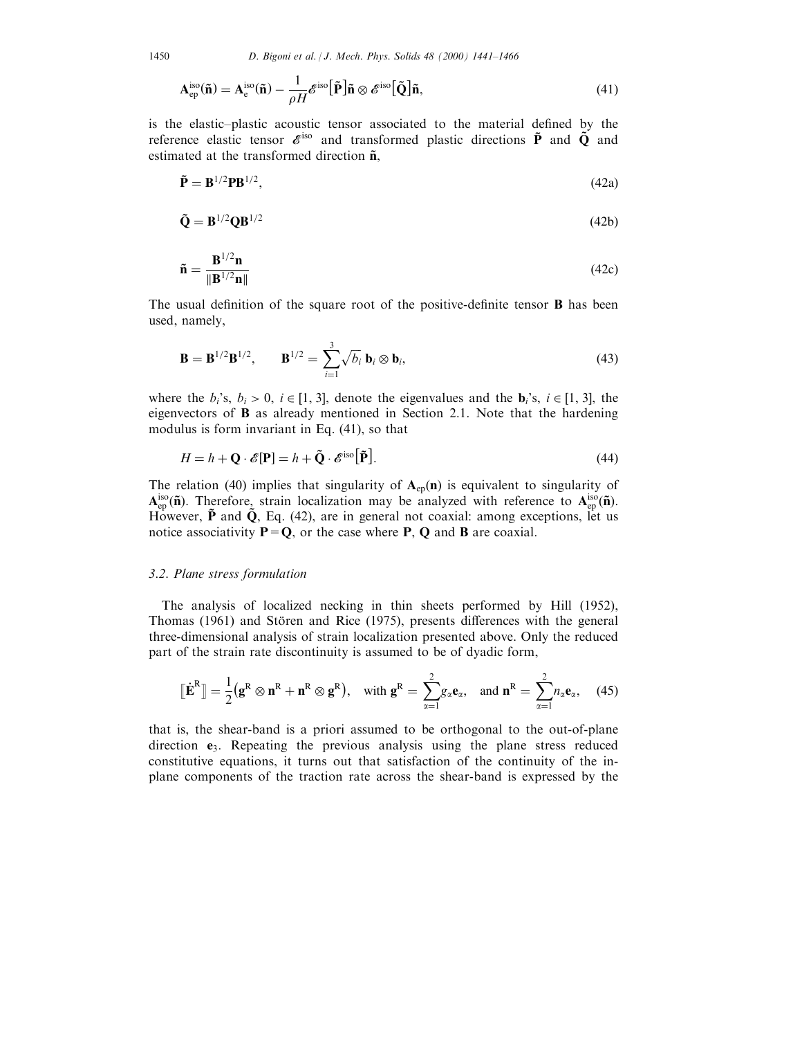1450 D. Bigoni et al. | J. Mech. Phys. Solids 48 (2000) 1441-1466

$$
\mathbf{A}_{\text{ep}}^{\text{iso}}(\tilde{\mathbf{n}}) = \mathbf{A}_{\text{e}}^{\text{iso}}(\tilde{\mathbf{n}}) - \frac{1}{\rho H} \mathcal{E}^{\text{iso}}[\tilde{\mathbf{P}}] \tilde{\mathbf{n}} \otimes \mathcal{E}^{\text{iso}}[\tilde{\mathbf{Q}}] \tilde{\mathbf{n}},\tag{41}
$$

is the elastic-plastic acoustic tensor associated to the material defined by the reference elastic tensor  $\vec{e}^{iso}$  and transformed plastic directions  $\tilde{P}$  and  $\tilde{Q}$  and estimated at the transformed direction  $\tilde{\mathbf{n}}$ ,

$$
\tilde{\mathbf{P}} = \mathbf{B}^{1/2} \mathbf{P} \mathbf{B}^{1/2},\tag{42a}
$$

$$
\tilde{\mathbf{Q}} = \mathbf{B}^{1/2} \mathbf{Q} \mathbf{B}^{1/2} \tag{42b}
$$

$$
\tilde{\mathbf{n}} = \frac{\mathbf{B}^{1/2} \mathbf{n}}{\|\mathbf{B}^{1/2} \mathbf{n}\|} \tag{42c}
$$

The usual definition of the square root of the positive-definite tensor  $\bf{B}$  has been used, namely,

$$
\mathbf{B} = \mathbf{B}^{1/2} \mathbf{B}^{1/2}, \qquad \mathbf{B}^{1/2} = \sum_{i=1}^{3} \sqrt{b_i} \mathbf{b}_i \otimes \mathbf{b}_i,
$$
 (43)

where the  $b_i$ 's,  $b_i > 0$ ,  $i \in [1, 3]$ , denote the eigenvalues and the  $\mathbf{b}_i$ 's,  $i \in [1, 3]$ , the eigenvectors of B as already mentioned in Section 2.1. Note that the hardening modulus is form invariant in Eq. (41), so that

$$
H = h + \mathbf{Q} \cdot \mathcal{E}[\mathbf{P}] = h + \tilde{\mathbf{Q}} \cdot \mathcal{E}^{\text{iso}}[\tilde{\mathbf{P}}].
$$
\n(44)

The relation (40) implies that singularity of  $A_{ep}(n)$  is equivalent to singularity of  $A_{ep}^{iso}(\tilde{n})$ . Therefore, strain localization may be analyzed with reference to  $A_{ep}^{iso}(\tilde{n})$ . However,  $\tilde{P}$  and  $\tilde{Q}$ , Eq. (42), are in general not coaxial: among exceptions, let us notice associativity  $P = Q$ , or the case where P, Q and B are coaxial.

#### 3.2. Plane stress formulation

The analysis of localized necking in thin sheets performed by Hill (1952), Thomas (1961) and Stören and Rice (1975), presents differences with the general three-dimensional analysis of strain localization presented above. Only the reduced part of the strain rate discontinuity is assumed to be of dyadic form,

$$
\lbrack\!\lbrack\dot{\mathbf{E}}^R\rbrack\!\rbrack = \frac{1}{2}(\mathbf{g}^R \otimes \mathbf{n}^R + \mathbf{n}^R \otimes \mathbf{g}^R), \text{ with } \mathbf{g}^R = \sum_{\alpha=1}^2 g_\alpha \mathbf{e}_\alpha, \text{ and } \mathbf{n}^R = \sum_{\alpha=1}^2 n_\alpha \mathbf{e}_\alpha, \quad (45)
$$

that is, the shear-band is a priori assumed to be orthogonal to the out-of-plane direction  $e_3$ . Repeating the previous analysis using the plane stress reduced constitutive equations, it turns out that satisfaction of the continuity of the inplane components of the traction rate across the shear-band is expressed by the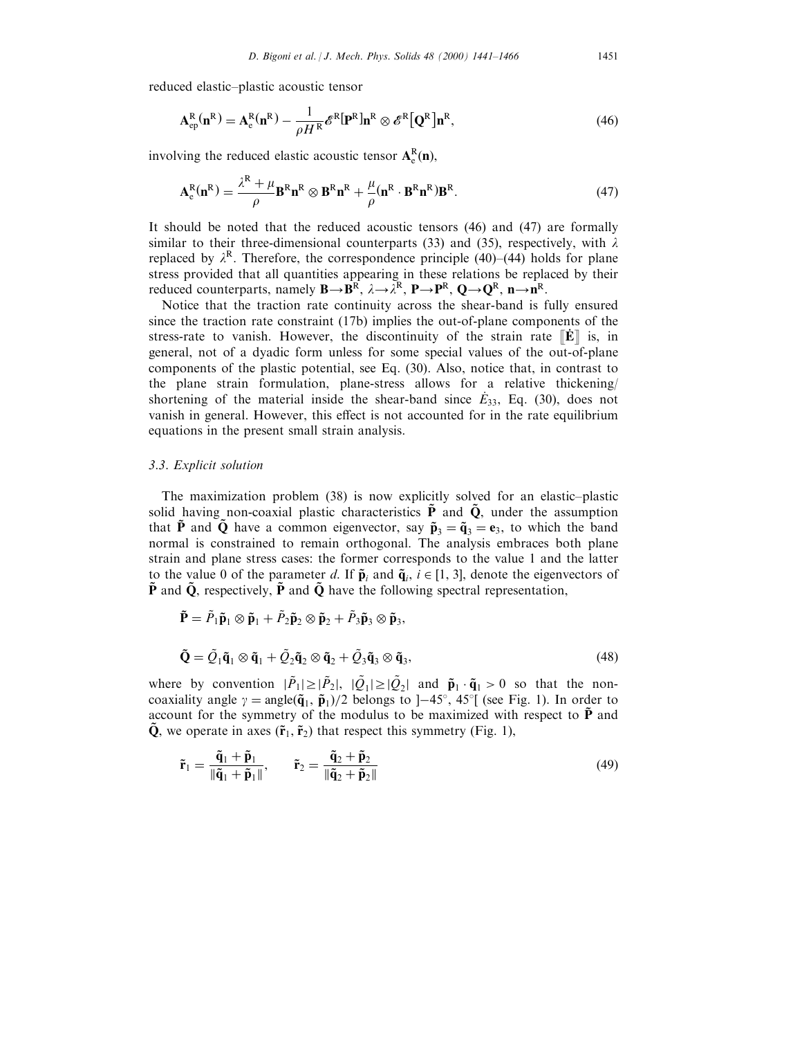reduced elastic-plastic acoustic tensor

$$
\mathbf{A}_{ep}^{R}(\mathbf{n}^{R}) = \mathbf{A}_{e}^{R}(\mathbf{n}^{R}) - \frac{1}{\rho H^{R}} \mathcal{E}^{R}[\mathbf{P}^{R}] \mathbf{n}^{R} \otimes \mathcal{E}^{R}[\mathbf{Q}^{R}] \mathbf{n}^{R},
$$
\n(46)

involving the reduced elastic acoustic tensor  $A_e^R(n)$ ,

$$
\mathbf{A}_{e}^{R}(\mathbf{n}^{R}) = \frac{\lambda^{R} + \mu}{\rho} \mathbf{B}^{R} \mathbf{n}^{R} \otimes \mathbf{B}^{R} \mathbf{n}^{R} + \frac{\mu}{\rho} (\mathbf{n}^{R} \cdot \mathbf{B}^{R} \mathbf{n}^{R}) \mathbf{B}^{R}.
$$
 (47)

It should be noted that the reduced acoustic tensors (46) and (47) are formally similar to their three-dimensional counterparts (33) and (35), respectively, with  $\lambda$ replaced by  $\lambda^R$ . Therefore, the correspondence principle (40)–(44) holds for plane stress provided that all quantities appearing in these relations be replaced by their reduced counterparts, namely  $\mathbf{B}\rightarrow \mathbf{B}^R$ ,  $\lambda \rightarrow \bar{\lambda}^R$ ,  $\mathbf{P}\rightarrow \mathbf{P}^R$ ,  $\mathbf{Q}\rightarrow \mathbf{Q}^R$ ,  $\mathbf{n}\rightarrow \mathbf{n}^R$ .

Notice that the traction rate continuity across the shear-band is fully ensured since the traction rate constraint (17b) implies the out-of-plane components of the stress-rate to vanish. However, the discontinuity of the strain rate  $\left\| \mathbf{\dot{E}} \right\|$  is, in general, not of a dyadic form unless for some special values of the out-of-plane components of the plastic potential, see Eq. (30). Also, notice that, in contrast to the plane strain formulation, plane-stress allows for a relative thickening/ shortening of the material inside the shear-band since  $E_{33}$ , Eq. (30), does not vanish in general. However, this effect is not accounted for in the rate equilibrium equations in the present small strain analysis.

## 3.3. Explicit solution

The maximization problem  $(38)$  is now explicitly solved for an elastic-plastic solid having non-coaxial plastic characteristics  $\tilde{P}$  and  $\tilde{Q}$ , under the assumption that  $\tilde{P}$  and  $\tilde{Q}$  have a common eigenvector, say  $\tilde{p}_3 = \tilde{q}_3 = e_3$ , to which the band normal is constrained to remain orthogonal. The analysis embraces both plane strain and plane stress cases: the former corresponds to the value 1 and the latter to the value 0 of the parameter d. If  $\tilde{\mathbf{p}}_i$  and  $\tilde{\mathbf{q}}_i$ ,  $i \in [1, 3]$ , denote the eigenvectors of  $\tilde{P}$  and  $\tilde{Q}$ , respectively,  $\tilde{P}$  and  $\tilde{Q}$  have the following spectral representation,

$$
\tilde{\mathbf{P}} = \tilde{P}_1 \tilde{\mathbf{p}}_1 \otimes \tilde{\mathbf{p}}_1 + \tilde{P}_2 \tilde{\mathbf{p}}_2 \otimes \tilde{\mathbf{p}}_2 + \tilde{P}_3 \tilde{\mathbf{p}}_3 \otimes \tilde{\mathbf{p}}_3,
$$
  
\n
$$
\tilde{\mathbf{Q}} = \tilde{Q}_1 \tilde{\mathbf{q}}_1 \otimes \tilde{\mathbf{q}}_1 + \tilde{Q}_2 \tilde{\mathbf{q}}_2 \otimes \tilde{\mathbf{q}}_2 + \tilde{Q}_3 \tilde{\mathbf{q}}_3 \otimes \tilde{\mathbf{q}}_3,
$$
\n(48)

where by convention  $|\tilde{P}_1| \geq |\tilde{P}_2|$ ,  $|\tilde{Q}_1| \geq |\tilde{Q}_2|$  and  $\tilde{\mathbf{p}}_1 \cdot \tilde{\mathbf{q}}_1 > 0$  so that the noncoaxiality angle  $\gamma = \text{angle}(\mathbf{\tilde{q}}_1, \mathbf{\tilde{p}}_1)/2$  belongs to ]-45°, 45°[ (see Fig. 1). In order to account for the symmetry of the modulus to be maximized with respect to  $\tilde{P}$  and  $\tilde{\mathbf{Q}}$ , we operate in axes  $(\tilde{\mathbf{r}}_1, \tilde{\mathbf{r}}_2)$  that respect this symmetry (Fig. 1),

$$
\tilde{\mathbf{r}}_1 = \frac{\tilde{\mathbf{q}}_1 + \tilde{\mathbf{p}}_1}{\|\tilde{\mathbf{q}}_1 + \tilde{\mathbf{p}}_1\|}, \qquad \tilde{\mathbf{r}}_2 = \frac{\tilde{\mathbf{q}}_2 + \tilde{\mathbf{p}}_2}{\|\tilde{\mathbf{q}}_2 + \tilde{\mathbf{p}}_2\|} \tag{49}
$$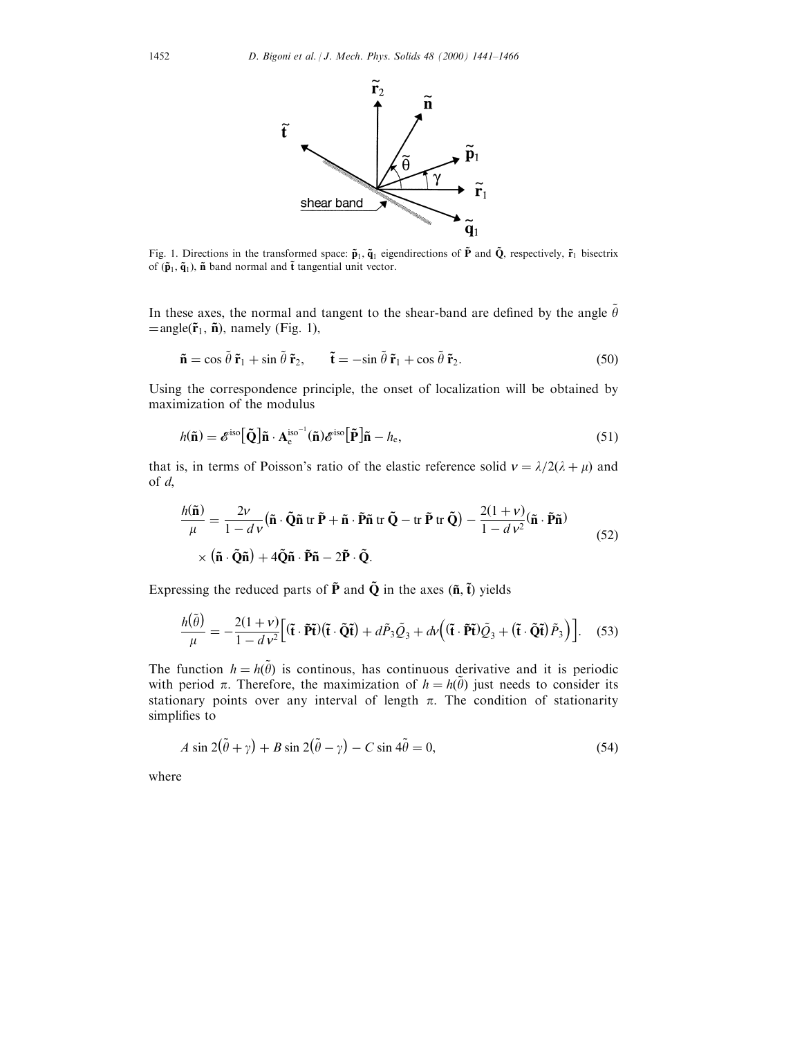

Fig. 1. Directions in the transformed space:  $\tilde{p}_1$ ,  $\tilde{q}_1$  eigendirections of  $\tilde{P}$  and  $\tilde{Q}$ , respectively,  $\tilde{r}_1$  bisectrix of  $(\tilde{\mathbf{p}}_1, \tilde{\mathbf{q}}_1)$ ,  $\tilde{\mathbf{n}}$  band normal and  $\tilde{\mathbf{t}}$  tangential unit vector.

In these axes, the normal and tangent to the shear-band are defined by the angle  $\tilde{\theta}$  $=$ angle $(\tilde{\mathbf{r}}_1, \tilde{\mathbf{n}})$ , namely (Fig. 1),

$$
\tilde{\mathbf{n}} = \cos \tilde{\theta} \, \tilde{\mathbf{r}}_1 + \sin \tilde{\theta} \, \tilde{\mathbf{r}}_2, \qquad \tilde{\mathbf{t}} = -\sin \tilde{\theta} \, \tilde{\mathbf{r}}_1 + \cos \tilde{\theta} \, \tilde{\mathbf{r}}_2. \tag{50}
$$

Using the correspondence principle, the onset of localization will be obtained by maximization of the modulus

$$
h(\tilde{\mathbf{n}}) = \mathcal{E}^{\text{iso}}[\tilde{\mathbf{Q}}]\tilde{\mathbf{n}} \cdot \mathbf{A}_{e}^{\text{iso}^{-1}}(\tilde{\mathbf{n}})\mathcal{E}^{\text{iso}}[\tilde{\mathbf{P}}]\tilde{\mathbf{n}} - h_{e},
$$
\n(51)

that is, in terms of Poisson's ratio of the elastic reference solid  $v = \lambda/2(\lambda + \mu)$  and of d,

$$
\frac{h(\tilde{\mathbf{n}})}{\mu} = \frac{2v}{1 - d v} (\tilde{\mathbf{n}} \cdot \tilde{\mathbf{Q}} \tilde{\mathbf{n}} \operatorname{tr} \tilde{\mathbf{P}} + \tilde{\mathbf{n}} \cdot \tilde{\mathbf{P}} \tilde{\mathbf{n}} \operatorname{tr} \tilde{\mathbf{Q}} - \operatorname{tr} \tilde{\mathbf{P}} \operatorname{tr} \tilde{\mathbf{Q}}) - \frac{2(1 + v)}{1 - d v^2} (\tilde{\mathbf{n}} \cdot \tilde{\mathbf{P}} \tilde{\mathbf{n}})
$$
  
×  $(\tilde{\mathbf{n}} \cdot \tilde{\mathbf{Q}} \tilde{\mathbf{n}}) + 4 \tilde{\mathbf{Q}} \tilde{\mathbf{n}} \cdot \tilde{\mathbf{P}} \tilde{\mathbf{n}} - 2 \tilde{\mathbf{P}} \cdot \tilde{\mathbf{Q}}.$  (52)

Expressing the reduced parts of  $\tilde{P}$  and  $\tilde{Q}$  in the axes  $(\tilde{n}, \tilde{t})$  yields

$$
\frac{h(\tilde{\theta})}{\mu} = -\frac{2(1+\nu)}{1-d\nu^2} \Big[ (\tilde{\mathbf{t}} \cdot \tilde{\mathbf{P}} \tilde{\mathbf{t}}) (\tilde{\mathbf{t}} \cdot \tilde{\mathbf{Q}} \tilde{\mathbf{t}}) + d\tilde{P}_3 \tilde{Q}_3 + d\nu \Big( (\tilde{\mathbf{t}} \cdot \tilde{\mathbf{P}} \tilde{\mathbf{t}}) \tilde{Q}_3 + (\tilde{\mathbf{t}} \cdot \tilde{\mathbf{Q}} \tilde{\mathbf{t}}) \tilde{P}_3 \Big) \Big].
$$
 (53)

The function  $h = h(\tilde{\theta})$  is continuous, has continuous derivative and it is periodic with period  $\pi$ . Therefore, the maximization of  $h = h(\tilde{\theta})$  just needs to consider its stationary points over any interval of length  $\pi$ . The condition of stationarity simplifies to

$$
A \sin 2(\tilde{\theta} + \gamma) + B \sin 2(\tilde{\theta} - \gamma) - C \sin 4\tilde{\theta} = 0,
$$
\n(54)

where

~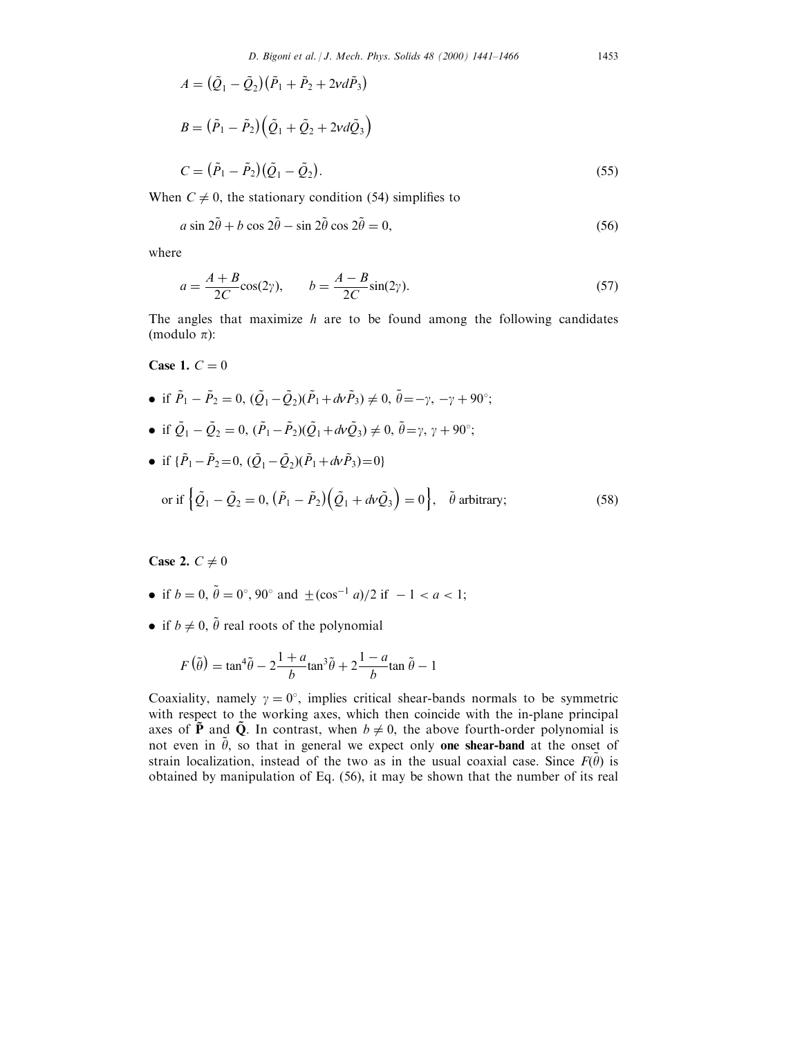$$
A = (\tilde{Q}_1 - \tilde{Q}_2)(\tilde{P}_1 + \tilde{P}_2 + 2vd\tilde{P}_3)
$$
  
\n
$$
B = (\tilde{P}_1 - \tilde{P}_2)(\tilde{Q}_1 + \tilde{Q}_2 + 2vd\tilde{Q}_3)
$$
  
\n
$$
C = (\tilde{P}_1 - \tilde{P}_2)(\tilde{Q}_1 - \tilde{Q}_2).
$$
\n(55)

When  $C \neq 0$ , the stationary condition (54) simplifies to

$$
a\sin 2\tilde{\theta} + b\cos 2\tilde{\theta} - \sin 2\tilde{\theta}\cos 2\tilde{\theta} = 0,
$$
\n(56)

where

$$
a = \frac{A+B}{2C}\cos(2\gamma), \qquad b = \frac{A-B}{2C}\sin(2\gamma). \tag{57}
$$

The angles that maximize  $h$  are to be found among the following candidates (modulo  $\pi$ ):

Case 1.  $C = 0$ 

- if  $\tilde{P}_1 \tilde{P}_2 = 0$ ,  $(\tilde{Q}_1 \tilde{Q}_2)(\tilde{P}_1 + d\nu\tilde{P}_3) \neq 0$ ,  $\tilde{\theta} = -\gamma$ ,  $-\gamma + 90^\circ$ ;
- if  $\tilde{Q}_1 \tilde{Q}_2 = 0$ ,  $(\tilde{P}_1 \tilde{P}_2)(\tilde{Q}_1 + dV\tilde{Q}_3) \neq 0$ ,  $\tilde{\theta} = \gamma$ ,  $\gamma + 90^{\circ}$ ;
- if  $\{\tilde{P}_1 \tilde{P}_2 = 0, (\tilde{Q}_1 \tilde{Q}_2)(\tilde{P}_1 + dv\tilde{P}_3) = 0\}$ or if  $\left\{ \tilde{Q}_1 - \tilde{Q}_2 = 0, \left( \tilde{P}_1 - \tilde{P}_2 \right) \left( \tilde{Q}_1 + d\nu \tilde{Q}_3 \right) = 0 \right\}$ ,  $\tilde{\theta}$  arbitrary; (58)

Case 2.  $C \neq 0$ 

- if  $b = 0$ ,  $\tilde{\theta} = 0^{\circ}$ ,  $90^{\circ}$  and  $\pm (\cos^{-1} a)/2$  if  $-1 < a < 1$ ;
- if  $b \neq 0$ ,  $\tilde{\theta}$  real roots of the polynomial

$$
F(\tilde{\theta}) = \tan^4 \tilde{\theta} - 2\frac{1+a}{b}\tan^3 \tilde{\theta} + 2\frac{1-a}{b}\tan \tilde{\theta} - 1
$$

Coaxiality, namely  $\gamma = 0^{\circ}$ , implies critical shear-bands normals to be symmetric with respect to the working axes, which then coincide with the in-plane principal axes of  $\tilde{P}$  and  $\tilde{Q}$ . In contrast, when  $b \neq 0$ , the above fourth-order polynomial is not even in  $\tilde{\theta}$ , so that in general we expect only one shear-band at the onset of strain localization, instead of the two as in the usual coaxial case. Since  $F(\tilde{\theta})$  is obtained by manipulation of Eq. (56), it may be shown that the number of its real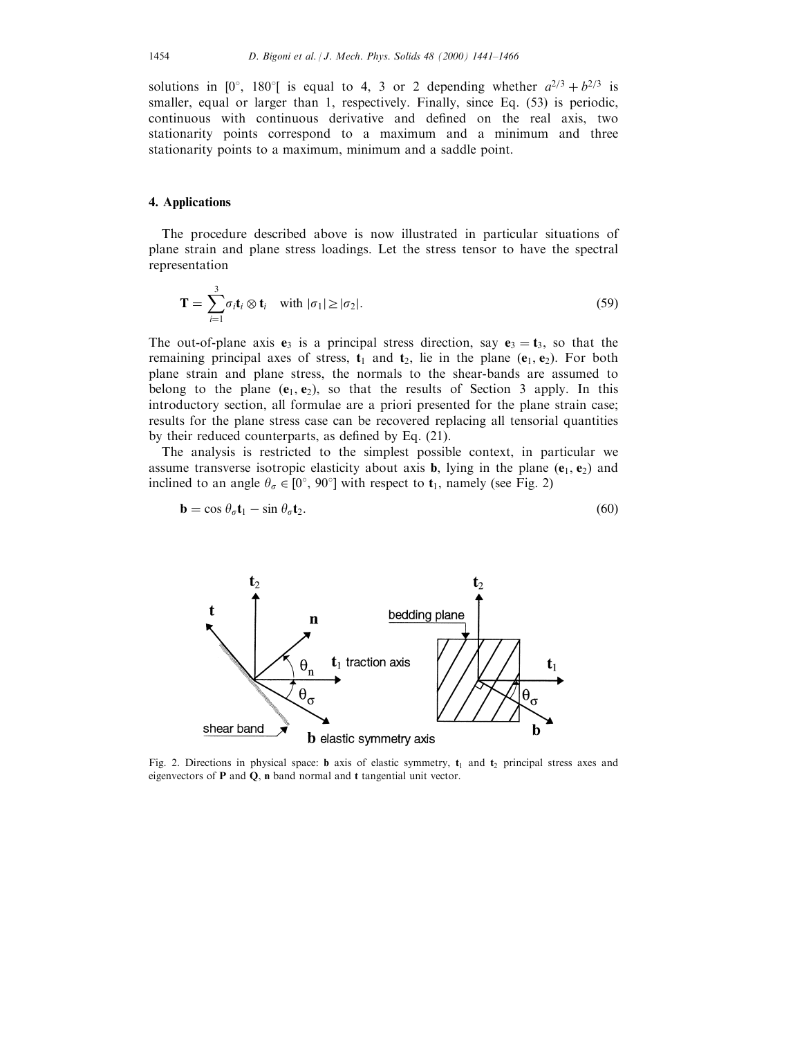solutions in [0°, 180°] is equal to 4, 3 or 2 depending whether  $a^{2/3} + b^{2/3}$  is smaller, equal or larger than 1, respectively. Finally, since Eq. (53) is periodic, continuous with continuous derivative and defined on the real axis, two stationarity points correspond to a maximum and a minimum and three stationarity points to a maximum, minimum and a saddle point.

## 4. Applications

The procedure described above is now illustrated in particular situations of plane strain and plane stress loadings. Let the stress tensor to have the spectral representation

$$
\mathbf{T} = \sum_{i=1}^{3} \sigma_i \mathbf{t}_i \otimes \mathbf{t}_i \quad \text{with } |\sigma_1| \ge |\sigma_2|.
$$
 (59)

The out-of-plane axis  $e_3$  is a principal stress direction, say  $e_3 = t_3$ , so that the remaining principal axes of stress,  $t_1$  and  $t_2$ , lie in the plane ( $e_1$ ,  $e_2$ ). For both plane strain and plane stress, the normals to the shear-bands are assumed to belong to the plane  $(e_1, e_2)$ , so that the results of Section 3 apply. In this introductory section, all formulae are a priori presented for the plane strain case; results for the plane stress case can be recovered replacing all tensorial quantities by their reduced counterparts, as defined by Eq.  $(21)$ .

The analysis is restricted to the simplest possible context, in particular we assume transverse isotropic elasticity about axis **b**, lying in the plane  $(e_1, e_2)$  and inclined to an angle  $\theta_{\sigma} \in [0^{\circ}, 90^{\circ}]$  with respect to  $t_1$ , namely (see Fig. 2)

$$
\mathbf{b} = \cos \theta_{\sigma} \mathbf{t}_1 - \sin \theta_{\sigma} \mathbf{t}_2. \tag{60}
$$



Fig. 2. Directions in physical space: **b** axis of elastic symmetry,  $t_1$  and  $t_2$  principal stress axes and eigenvectors of P and Q, n band normal and t tangential unit vector.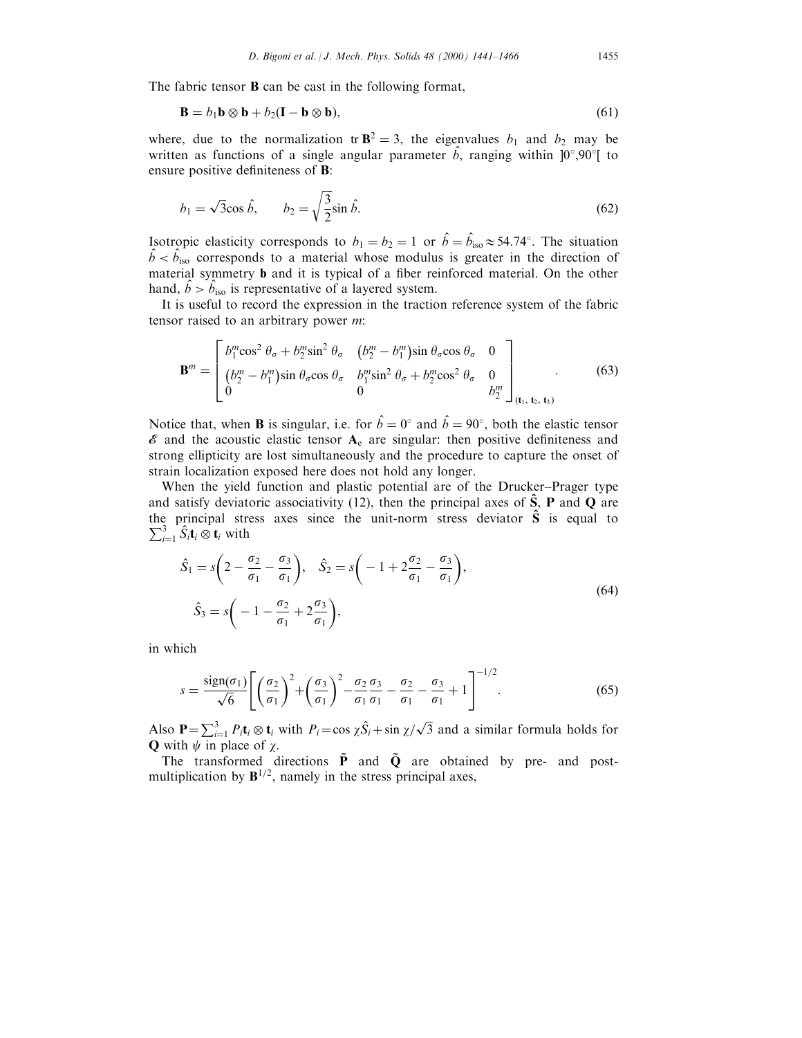The fabric tensor **B** can be cast in the following format,

$$
\mathbf{B} = b_1 \mathbf{b} \otimes \mathbf{b} + b_2 (\mathbf{I} - \mathbf{b} \otimes \mathbf{b}),\tag{61}
$$

where, due to the normalization tr  $\mathbf{B}^2 = 3$ , the eigenvalues  $b_1$  and  $b_2$  may be written as functions of a single angular parameter  $\hat{b}$ , ranging within  $]0^\circ,90^\circ[$  to ensure positive definiteness of **B**:

$$
b_1 = \sqrt{3}\cos\hat{b}, \qquad b_2 = \sqrt{\frac{3}{2}}\sin\hat{b}.\tag{62}
$$

Isotropic elasticity corresponds to  $b_1 = b_2 = 1$  or  $\hat{b} = \hat{b}_{\text{iso}} \approx 54.74^{\circ}$ . The situation  $\hat{b} < \hat{b}_{\text{iso}}$  corresponds to a material whose modulus is greater in the direction of  $\hat{b} < \hat{b}_{\text{iso}}$  corresponds to a material whose modulus is greater in the direction of material symmetry **b** and it is typical of a fiber reinforced material. On the other hand,  $\hat{b} > \hat{b}_{\text{iso}}$  is representative of a layered system.

It is useful to record the expression in the traction reference system of the fabric tensor raised to an arbitrary power m:

$$
\mathbf{B}^{m} = \begin{bmatrix} b_1^m \cos^2 \theta_{\sigma} + b_2^m \sin^2 \theta_{\sigma} & (b_2^m - b_1^m) \sin \theta_{\sigma} \cos \theta_{\sigma} & 0\\ (b_2^m - b_1^m) \sin \theta_{\sigma} \cos \theta_{\sigma} & b_1^m \sin^2 \theta_{\sigma} + b_2^m \cos^2 \theta_{\sigma} & 0\\ 0 & 0 & b_2^m \end{bmatrix}_{(\mathbf{t}_1, \mathbf{t}_2, \mathbf{t}_3)} . \tag{63}
$$

Notice that, when **B** is singular, i.e. for  $\hat{b} = 0^{\circ}$  and  $\hat{b} = 90^{\circ}$ , both the elastic tensor  $\mathscr E$  and the acoustic elastic tensor  $A_e$  are singular: then positive definiteness and strong ellipticity are lost simultaneously and the procedure to capture the onset of strain localization exposed here does not hold any longer.

When the yield function and plastic potential are of the Drucker–Prager type and satisfy deviatoric associativity (12), then the principal axes of  $\hat{S}$ , **P** and **Q** are the principal stress axes since the unit-norm stress deviator  $\hat{S}$  is equal to  $\sum_{i=1}^3 \hat{S}_i \mathbf{t}_i \otimes \mathbf{t}_i$  with

$$
\hat{S}_1 = s \left( 2 - \frac{\sigma_2}{\sigma_1} - \frac{\sigma_3}{\sigma_1} \right), \quad \hat{S}_2 = s \left( -1 + 2 \frac{\sigma_2}{\sigma_1} - \frac{\sigma_3}{\sigma_1} \right),
$$
  

$$
\hat{S}_3 = s \left( -1 - \frac{\sigma_2}{\sigma_1} + 2 \frac{\sigma_3}{\sigma_1} \right),
$$
 (64)

in which

$$
s = \frac{\text{sign}(\sigma_1)}{\sqrt{6}} \left[ \left( \frac{\sigma_2}{\sigma_1} \right)^2 + \left( \frac{\sigma_3}{\sigma_1} \right)^2 - \frac{\sigma_2}{\sigma_1} \frac{\sigma_3}{\sigma_1} - \frac{\sigma_2}{\sigma_1} - \frac{\sigma_3}{\sigma_1} + 1 \right]^{-1/2}.
$$
 (65)

Also  $P = \sum_{i=1}^{3} P_i t_i \otimes t_i$  with  $P_i = \cos \chi \hat{S}_i + \sin \chi / \sqrt{3}$  and a similar formula holds for **Q** with  $\psi$  in place of  $\chi$ .

The transformed directions  $\tilde{P}$  and  $\tilde{Q}$  are obtained by pre- and postmultiplication by  $B^{1/2}$ , namely in the stress principal axes,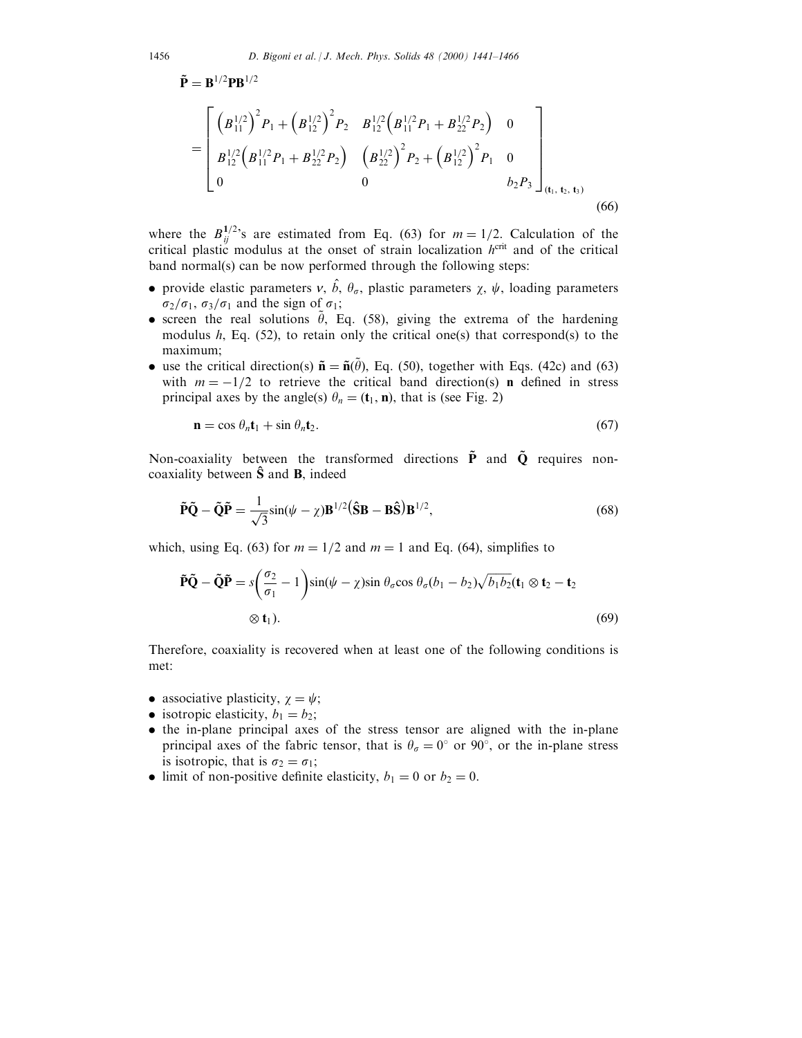$$
= \begin{bmatrix} \left(B_{11}^{1/2}\right)^2 P_1 + \left(B_{12}^{1/2}\right)^2 P_2 & B_{12}^{1/2} \left(B_{11}^{1/2} P_1 + B_{22}^{1/2} P_2\right) & 0\\ B_{12}^{1/2} \left(B_{11}^{1/2} P_1 + B_{22}^{1/2} P_2\right) & \left(B_{22}^{1/2}\right)^2 P_2 + \left(B_{12}^{1/2}\right)^2 P_1 & 0\\ 0 & 0 & b_2 P_3 \end{bmatrix}_{(\mathbf{t}_1, \mathbf{t}_2, \mathbf{t}_3)}
$$
(66)

where the  $B_{ij}^{1/2}$ 's are estimated from Eq. (63) for  $m = 1/2$ . Calculation of the critical plastic modulus at the onset of strain localization  $h^{\text{crit}}$  and of the critical band normal(s) can be now performed through the following steps:

- provide elastic parameters  $v, \hat{b}, \theta_{\sigma}$ , plastic parameters  $\chi$ ,  $\psi$ , loading parameters  $\sigma_2/\sigma_1$ ,  $\sigma_3/\sigma_1$  and the sign of  $\sigma_1$ ;
- screen the real solutions  $\tilde{\theta}$ , Eq. (58), giving the extrema of the hardening modulus  $h$ , Eq. (52), to retain only the critical one(s) that correspond(s) to the maximum;
- use the critical direction(s)  $\tilde{\mathbf{n}} = \tilde{\mathbf{n}}(\tilde{\theta})$ , Eq. (50), together with Eqs. (42c) and (63) with  $m = -1/2$  to retrieve the critical band direction(s) **n** defined in stress principal axes by the angle(s)  $\theta_n = (\mathbf{t}_1, \mathbf{n})$ , that is (see Fig. 2)

$$
\mathbf{n} = \cos \theta_n \mathbf{t}_1 + \sin \theta_n \mathbf{t}_2. \tag{67}
$$

Non-coaxiality between the transformed directions  $\tilde{P}$  and  $\tilde{Q}$  requires noncoaxiality between  $\hat{S}$  and  $B$ , indeed

$$
\tilde{\mathbf{P}}\tilde{\mathbf{Q}} - \tilde{\mathbf{Q}}\tilde{\mathbf{P}} = \frac{1}{\sqrt{3}}\sin(\psi - \chi)\mathbf{B}^{1/2}(\hat{\mathbf{S}}\mathbf{B} - \mathbf{B}\hat{\mathbf{S}})\mathbf{B}^{1/2},\tag{68}
$$

which, using Eq. (63) for  $m = 1/2$  and  $m = 1$  and Eq. (64), simplifies to

$$
\tilde{\mathbf{P}}\tilde{\mathbf{Q}} - \tilde{\mathbf{Q}}\tilde{\mathbf{P}} = s \left( \frac{\sigma_2}{\sigma_1} - 1 \right) \sin(\psi - \chi) \sin \theta_{\sigma} \cos \theta_{\sigma} (b_1 - b_2) \sqrt{b_1 b_2} (\mathbf{t}_1 \otimes \mathbf{t}_2 - \mathbf{t}_2)
$$
\n
$$
\otimes \mathbf{t}_1). \tag{69}
$$

Therefore, coaxiality is recovered when at least one of the following conditions is met:

- associative plasticity,  $\chi = \psi$ ;
- isotropic elasticity,  $b_1 = b_2$ ;
- . the in-plane principal axes of the stress tensor are aligned with the in-plane principal axes of the fabric tensor, that is  $\theta_{\sigma} = 0^{\circ}$  or 90°, or the in-plane stress is isotropic, that is  $\sigma_2 = \sigma_1$ ;
- limit of non-positive definite elasticity,  $b_1 = 0$  or  $b_2 = 0$ .

 $\tilde{\mathbf{P}} = \mathbf{B}^{1/2} \mathbf{P} \mathbf{B}^{1/2}$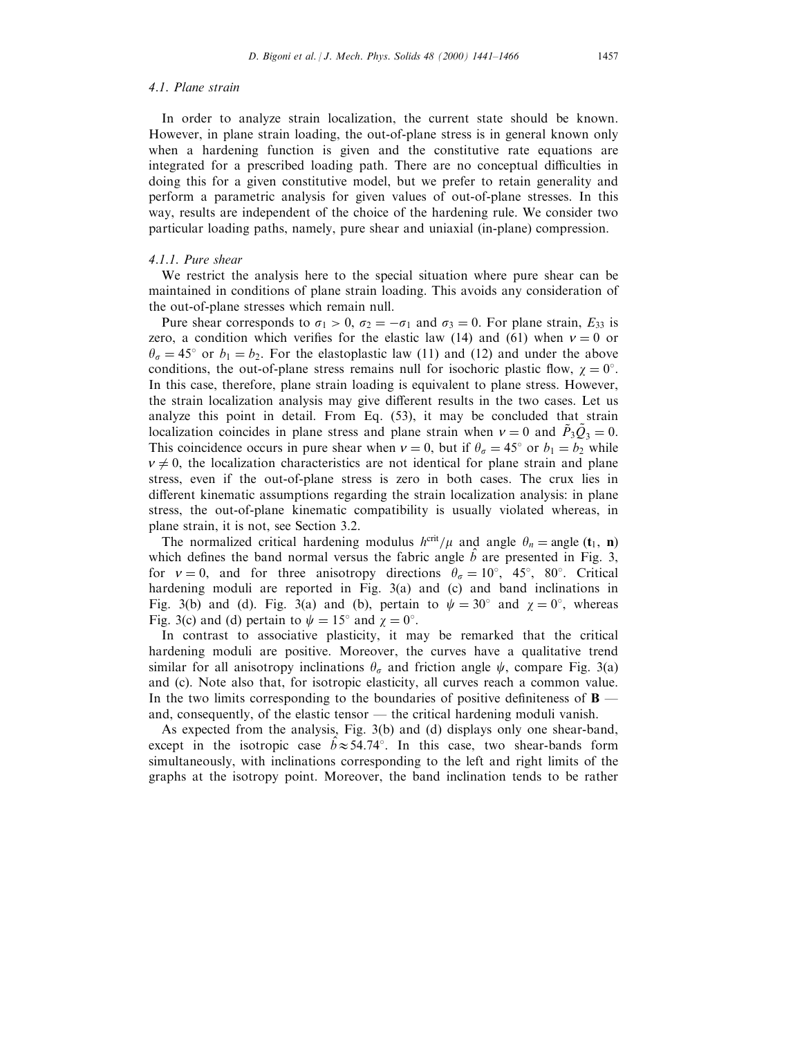# 4.1. Plane strain

In order to analyze strain localization, the current state should be known. However, in plane strain loading, the out-of-plane stress is in general known only when a hardening function is given and the constitutive rate equations are integrated for a prescribed loading path. There are no conceptual difficulties in doing this for a given constitutive model, but we prefer to retain generality and perform a parametric analysis for given values of out-of-plane stresses. In this way, results are independent of the choice of the hardening rule. We consider two particular loading paths, namely, pure shear and uniaxial (in-plane) compression.

# 4.1.1. Pure shear

We restrict the analysis here to the special situation where pure shear can be maintained in conditions of plane strain loading. This avoids any consideration of the out-of-plane stresses which remain null.

Pure shear corresponds to  $\sigma_1 > 0$ ,  $\sigma_2 = -\sigma_1$  and  $\sigma_3 = 0$ . For plane strain,  $E_{33}$  is zero, a condition which verifies for the elastic law (14) and (61) when  $v = 0$  or  $\theta_{\sigma} = 45^{\circ}$  or  $b_1 = b_2$ . For the elastoplastic law (11) and (12) and under the above conditions, the out-of-plane stress remains null for isochoric plastic flow,  $\chi = 0^{\circ}$ . In this case, therefore, plane strain loading is equivalent to plane stress. However, the strain localization analysis may give different results in the two cases. Let us analyze this point in detail. From Eq. (53), it may be concluded that strain localization coincides in plane stress and plane strain when  $v = 0$  and  $\tilde{P}_3 \tilde{Q}_3 = 0$ . This coincidence occurs in pure shear when  $v = 0$ , but if  $\theta_{\sigma} = 45^{\circ}$  or  $b_1 = b_2$  while  $v \neq 0$ , the localization characteristics are not identical for plane strain and plane stress, even if the out-of-plane stress is zero in both cases. The crux lies in different kinematic assumptions regarding the strain localization analysis: in plane stress, the out-of-plane kinematic compatibility is usually violated whereas, in plane strain, it is not, see Section 3.2.

The normalized critical hardening modulus  $h^{\text{crit}}/\mu$  and angle  $\theta_n =$ angle  $(t_1, n)$ which defines the band normal versus the fabric angle  $\hat{b}$  are presented in Fig. 3, for  $v = 0$ , and for three anisotropy directions  $\theta_{\sigma} = 10^{\circ}$ , 45°, 80°. Critical hardening moduli are reported in Fig. 3(a) and (c) and band inclinations in Fig. 3(b) and (d). Fig. 3(a) and (b), pertain to  $\psi = 30^{\circ}$  and  $\chi = 0^{\circ}$ , whereas Fig. 3(c) and (d) pertain to  $\psi = 15^{\circ}$  and  $\chi = 0^{\circ}$ .

In contrast to associative plasticity, it may be remarked that the critical hardening moduli are positive. Moreover, the curves have a qualitative trend similar for all anisotropy inclinations  $\theta_{\sigma}$  and friction angle  $\psi$ , compare Fig. 3(a) and (c). Note also that, for isotropic elasticity, all curves reach a common value. In the two limits corresponding to the boundaries of positive definiteness of  $\bf{B}$  and, consequently, of the elastic tensor  $-$  the critical hardening moduli vanish.

As expected from the analysis, Fig. 3(b) and (d) displays only one shear-band, except in the isotropic case  $\hat{b} \approx 54.74^{\circ}$ . In this case, two shear-bands form simultaneously, with inclinations corresponding to the left and right limits of the graphs at the isotropy point. Moreover, the band inclination tends to be rather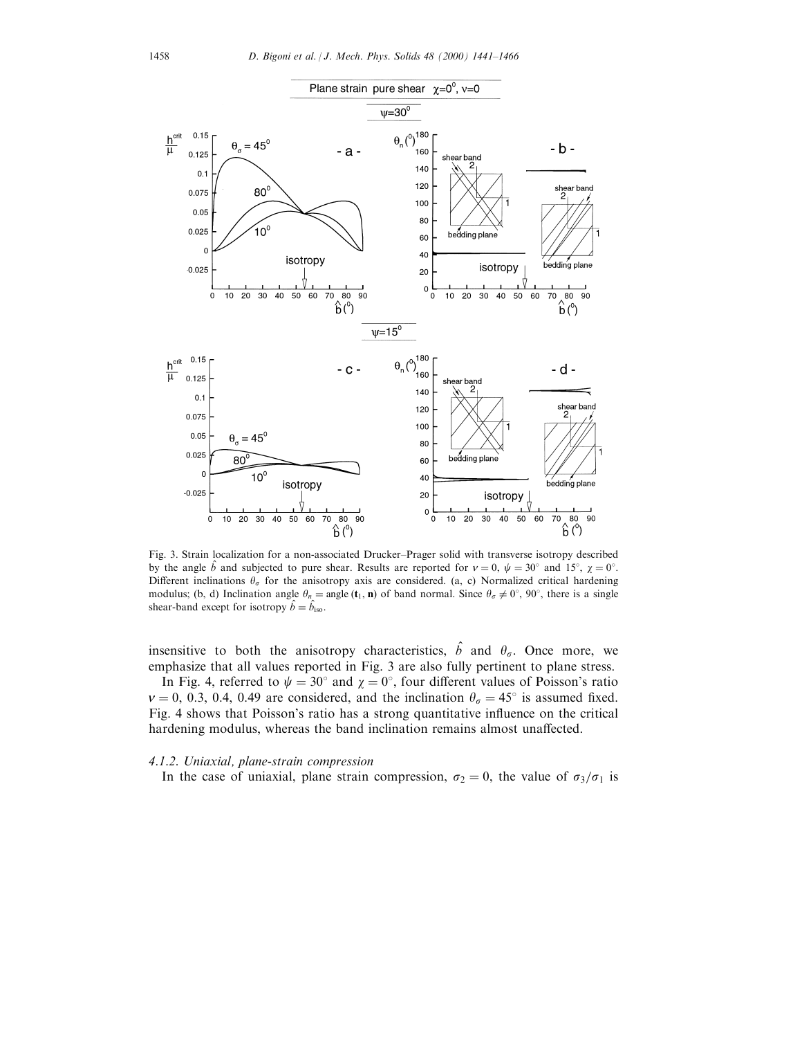

Fig. 3. Strain localization for a non-associated Drucker-Prager solid with transverse isotropy described by the angle  $\hat{b}$  and subjected to pure shear. Results are reported for  $v = 0$ ,  $\psi = 30^{\circ}$  and 15°,  $\chi = 0^{\circ}$ . Different inclinations  $\theta_{\sigma}$  for the anisotropy axis are considered. (a, c) Normalized critical hardening modulus; (b, d) Inclination angle  $\theta_n = \text{angle}(\mathbf{t}_1, \mathbf{n})$  of band normal. Since  $\theta_{\sigma} \neq 0^{\circ}$ ,  $90^{\circ}$ , there is a single shear-band except for isotropy  $\hat{b} = \hat{b}_{\text{iso}}$ .

insensitive to both the anisotropy characteristics,  $\hat{b}$  and  $\theta_{\sigma}$ . Once more, we emphasize that all values reported in Fig. 3 are also fully pertinent to plane stress.

In Fig. 4, referred to  $\psi = 30^{\circ}$  and  $\chi = 0^{\circ}$ , four different values of Poisson's ratio  $v = 0$ , 0.3, 0.4, 0.49 are considered, and the inclination  $\theta_{\sigma} = 45^{\circ}$  is assumed fixed. Fig. 4 shows that Poisson's ratio has a strong quantitative influence on the critical hardening modulus, whereas the band inclination remains almost unaffected.

## 4.1.2. Uniaxial, plane-strain compression

In the case of uniaxial, plane strain compression,  $\sigma_2=0$ , the value of  $\sigma_3/\sigma_1$  is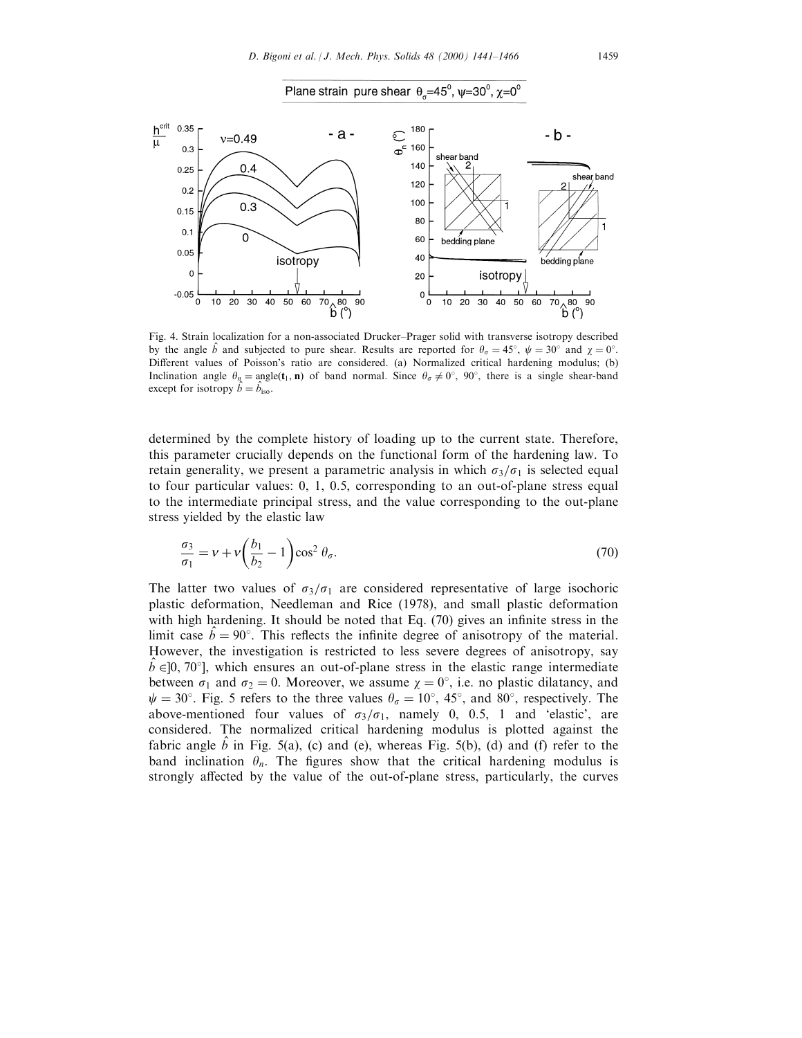



Fig. 4. Strain localization for a non-associated Drucker-Prager solid with transverse isotropy described by the angle  $\hat{b}$  and subjected to pure shear. Results are reported for  $\theta_{\sigma} = 45^{\circ}$ ,  $\psi = 30^{\circ}$  and  $\chi = 0^{\circ}$ . Different values of Poisson's ratio are considered. (a) Normalized critical hardening modulus; (b) Inclination angle  $\theta_n = \text{angle}(\mathbf{t}_1, \mathbf{n})$  of band normal. Since  $\theta_{\sigma} \neq 0^{\circ}$ ,  $90^{\circ}$ , there is a single shear-band except for isotropy  $\hat{b} = \hat{b}_{\text{iso}}$ .

determined by the complete history of loading up to the current state. Therefore, this parameter crucially depends on the functional form of the hardening law. To retain generality, we present a parametric analysis in which  $\sigma_3/\sigma_1$  is selected equal to four particular values: 0, 1, 0.5, corresponding to an out-of-plane stress equal to the intermediate principal stress, and the value corresponding to the out-plane stress yielded by the elastic law

$$
\frac{\sigma_3}{\sigma_1} = \nu + \nu \left( \frac{b_1}{b_2} - 1 \right) \cos^2 \theta_\sigma. \tag{70}
$$

The latter two values of  $\sigma_3/\sigma_1$  are considered representative of large isochoric plastic deformation, Needleman and Rice (1978), and small plastic deformation with high hardening. It should be noted that Eq.  $(70)$  gives an infinite stress in the limit case  $\hat{b} = 90^{\circ}$ . This reflects the infinite degree of anisotropy of the material. However, the investigation is restricted to less severe degrees of anisotropy, say  $\hat{b} \in ]0, 70^{\circ}]$ , which ensures an out-of-plane stress in the elastic range intermediate between  $\sigma_1$  and  $\sigma_2 = 0$ . Moreover, we assume  $\chi = 0^{\circ}$ , i.e. no plastic dilatancy, and  $\psi = 30^{\circ}$ . Fig. 5 refers to the three values  $\theta_{\sigma} = 10^{\circ}$ , 45°, and 80°, respectively. The above-mentioned four values of  $\sigma_3/\sigma_1$ , namely 0, 0.5, 1 and 'elastic', are considered. The normalized critical hardening modulus is plotted against the fabric angle  $\hat{b}$  in Fig. 5(a), (c) and (e), whereas Fig. 5(b), (d) and (f) refer to the band inclination  $\theta_n$ . The figures show that the critical hardening modulus is strongly affected by the value of the out-of-plane stress, particularly, the curves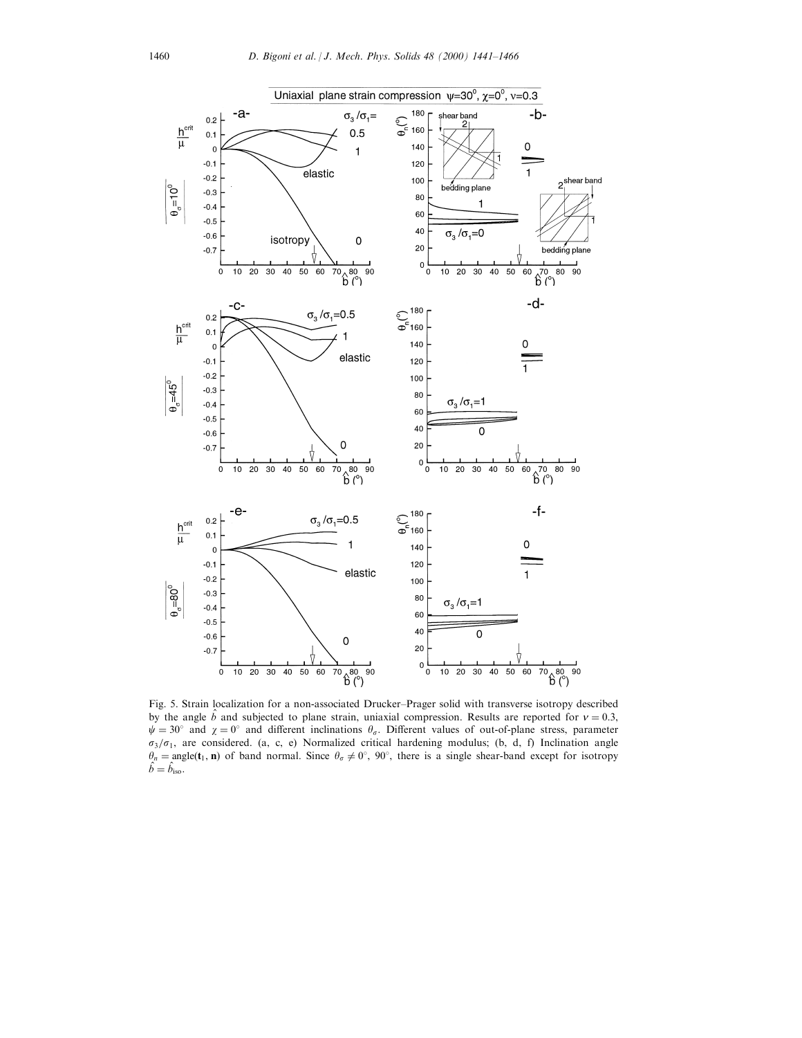

Fig. 5. Strain localization for a non-associated Drucker-Prager solid with transverse isotropy described by the angle  $\hat{b}$  and subjected to plane strain, uniaxial compression. Results are reported for  $v = 0.3$ ,  $\psi = 30^\circ$  and  $\chi = 0^\circ$  and different inclinations  $\theta_\sigma$ . Different values of out-of-plane stress, parameter  $\sigma_3/\sigma_1$ , are considered. (a, c, e) Normalized critical hardening modulus; (b, d, f) Inclination angle  $\theta_n = \text{angle}(\mathbf{t}_1, \mathbf{n})$  of band normal. Since  $\theta_\sigma \neq 0^\circ$ ,  $90^\circ$ , there is a single shear-band except for isotropy  $\hat{b} = \hat{b}_{\text{iso}}$ .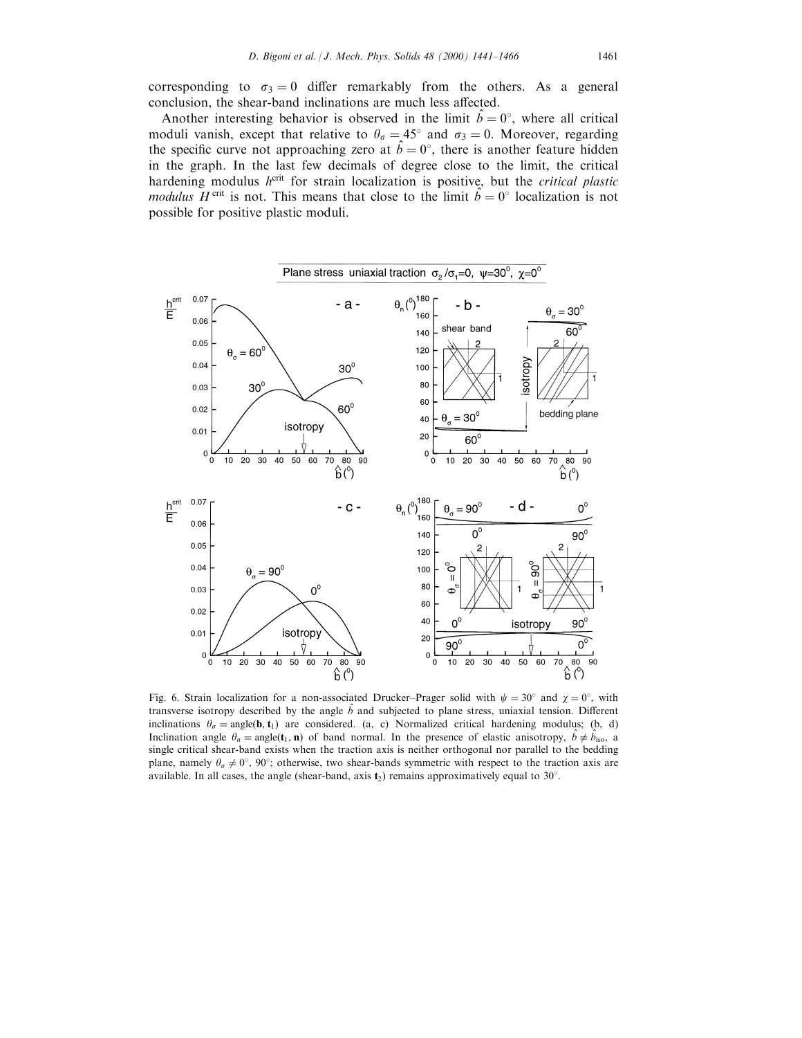corresponding to  $\sigma_3 = 0$  differ remarkably from the others. As a general conclusion, the shear-band inclinations are much less affected.

Another interesting behavior is observed in the limit  $\hat{b} = 0^{\circ}$ , where all critical moduli vanish, except that relative to  $\theta_{\sigma} = 45^{\circ}$  and  $\sigma_3 = 0$ . Moreover, regarding the specific curve not approaching zero at  $\hat{b} = 0^{\circ}$ , there is another feature hidden in the graph. In the last few decimals of degree close to the limit, the critical hardening modulus  $h^{\text{crit}}$  for strain localization is positive, but the *critical plastic modulus*  $\overline{H}^{\text{crit}}$  is not. This means that close to the limit  $\hat{b} = 0^{\circ}$  localization is not possible for positive plastic moduli.



Fig. 6. Strain localization for a non-associated Drucker-Prager solid with  $\psi = 30^\circ$  and  $\chi = 0^\circ$ , with transverse isotropy described by the angle  $\hat{b}$  and subjected to plane stress, uniaxial tension. Different inclinations  $\theta_{\sigma}$  = angle(**b**, **t**<sub>1</sub>) are considered. (a, c) Normalized critical hardening modulus; (b, d) Inclination angle  $\theta_n = \text{angle}(t_1, n)$  of band normal. In the presence of elastic anisotropy,  $\hat{b} \neq \hat{b}_{\text{iso}}$ , a single critical shear-band exists when the traction axis is neither orthogonal nor parallel to the bedding plane, namely  $\theta_{\sigma} \neq 0^{\circ}$ , 90°; otherwise, two shear-bands symmetric with respect to the traction axis are available. In all cases, the angle (shear-band, axis  $t_2$ ) remains approximatively equal to 30°.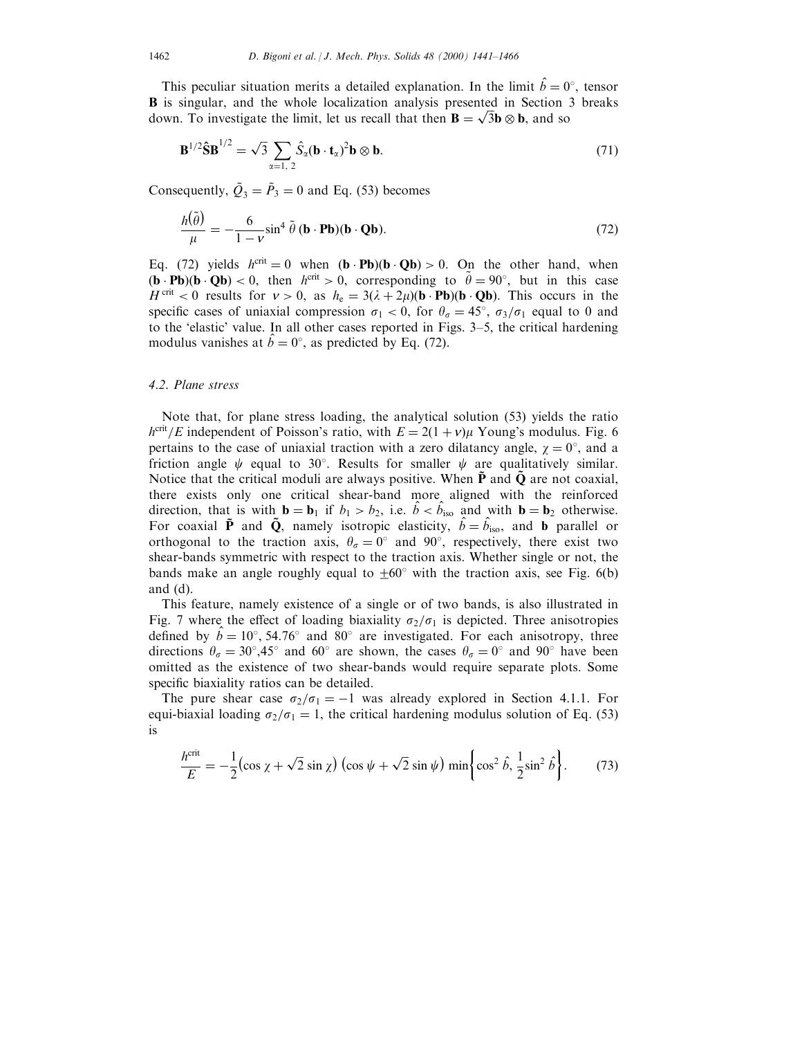This peculiar situation merits a detailed explanation. In the limit  $\hat{b} = 0^{\circ}$ , tensor B is singular, and the whole localization analysis presented in Section 3 breaks **B** is singular, and the whole localization analysis presented in Section down. To investigate the limit, let us recall that then  $\mathbf{B} = \sqrt{3}\mathbf{b} \otimes \mathbf{b}$ , and so

$$
\mathbf{B}^{1/2}\hat{\mathbf{S}}\mathbf{B}^{1/2} = \sqrt{3} \sum_{\alpha=1,2} \hat{S}_{\alpha}(\mathbf{b} \cdot \mathbf{t}_{\alpha})^2 \mathbf{b} \otimes \mathbf{b}.
$$
 (71)

Consequently,  $\tilde{Q}_3 = \tilde{P}_3 = 0$  and Eq. (53) becomes

$$
\frac{h(\tilde{\theta})}{\mu} = -\frac{6}{1-\nu}\sin^4\tilde{\theta} \left(\mathbf{b} \cdot \mathbf{Pb}\right)(\mathbf{b} \cdot \mathbf{Qb}).\tag{72}
$$

Eq. (72) yields  $h^{\text{crit}} = 0$  when  $(\mathbf{b} \cdot \mathbf{Pb})(\mathbf{b} \cdot \mathbf{Qb}) > 0$ . On the other hand, when  $(\mathbf{b} \cdot \mathbf{Pb})(\mathbf{b} \cdot \mathbf{Qb}) < 0$ , then  $h^{\text{crit}} > 0$ , corresponding to  $\tilde{\theta} = 90^{\circ}$ , but in this case  $H^{\text{crit}} < 0$  results for  $v > 0$ , as  $h_e = 3(\lambda + 2\mu)(\mathbf{b} \cdot \mathbf{P}\mathbf{b})(\mathbf{b} \cdot \mathbf{Q}\mathbf{b})$ . This occurs in the specific cases of uniaxial compression  $\sigma_1 < 0$ , for  $\theta_{\sigma} = 45^{\circ}$ ,  $\sigma_3/\sigma_1$  equal to 0 and to the 'elastic' value. In all other cases reported in Figs. 3–5, the critical hardening modulus vanishes at  $\hat{b} = 0^{\circ}$ , as predicted by Eq. (72).

## 4.2. Plane stress

Note that, for plane stress loading, the analytical solution (53) yields the ratio  $h^{\text{crit}}/E$  independent of Poisson's ratio, with  $E = 2(1 + v)\mu$  Young's modulus. Fig. 6 pertains to the case of uniaxial traction with a zero dilatancy angle,  $\chi = 0^{\circ}$ , and a friction angle  $\psi$  equal to 30°. Results for smaller  $\psi$  are qualitatively similar. Notice that the critical moduli are always positive. When  $P$  and  $Q$  are not coaxial, there exists only one critical shear-band more aligned with the reinforced direction, that is with  $\mathbf{b} = \mathbf{b}_1$  if  $b_1 > b_2$ , i.e.  $\hat{b} < \hat{b}_{\text{iso}}$  and with  $\mathbf{b} = \mathbf{b}_2$  otherwise. For coaxial  $\tilde{P}$  and  $\tilde{Q}$ , namely isotropic elasticity,  $\hat{b} = \hat{b}_{\text{iso}}$ , and b parallel or orthogonal to the traction axis,  $\theta_{\sigma} = 0^{\circ}$  and 90°, respectively, there exist two shear-bands symmetric with respect to the traction axis. Whether single or not, the bands make an angle roughly equal to  $\pm 60^{\circ}$  with the traction axis, see Fig. 6(b) and (d).

This feature, namely existence of a single or of two bands, is also illustrated in Fig. 7 where the effect of loading biaxiality  $\sigma_2/\sigma_1$  is depicted. Three anisotropies defined by  $\hat{b} = 10^{\circ}$ , 54.76° and 80° are investigated. For each anisotropy, three directions  $\theta_{\sigma} = 30^{\circ}, 45^{\circ}$  and 60° are shown, the cases  $\theta_{\sigma} = 0^{\circ}$  and 90° have been omitted as the existence of two shear-bands would require separate plots. Some specific biaxiality ratios can be detailed.

The pure shear case  $\sigma_2/\sigma_1 = -1$  was already explored in Section 4.1.1. For equi-biaxial loading  $\sigma_2/\sigma_1 = 1$ , the critical hardening modulus solution of Eq. (53) is

$$
\frac{h^{\text{crit}}}{E} = -\frac{1}{2} \left( \cos \chi + \sqrt{2} \sin \chi \right) \left( \cos \psi + \sqrt{2} \sin \psi \right) \min \left\{ \cos^2 \hat{b}, \frac{1}{2} \sin^2 \hat{b} \right\}.
$$
 (73)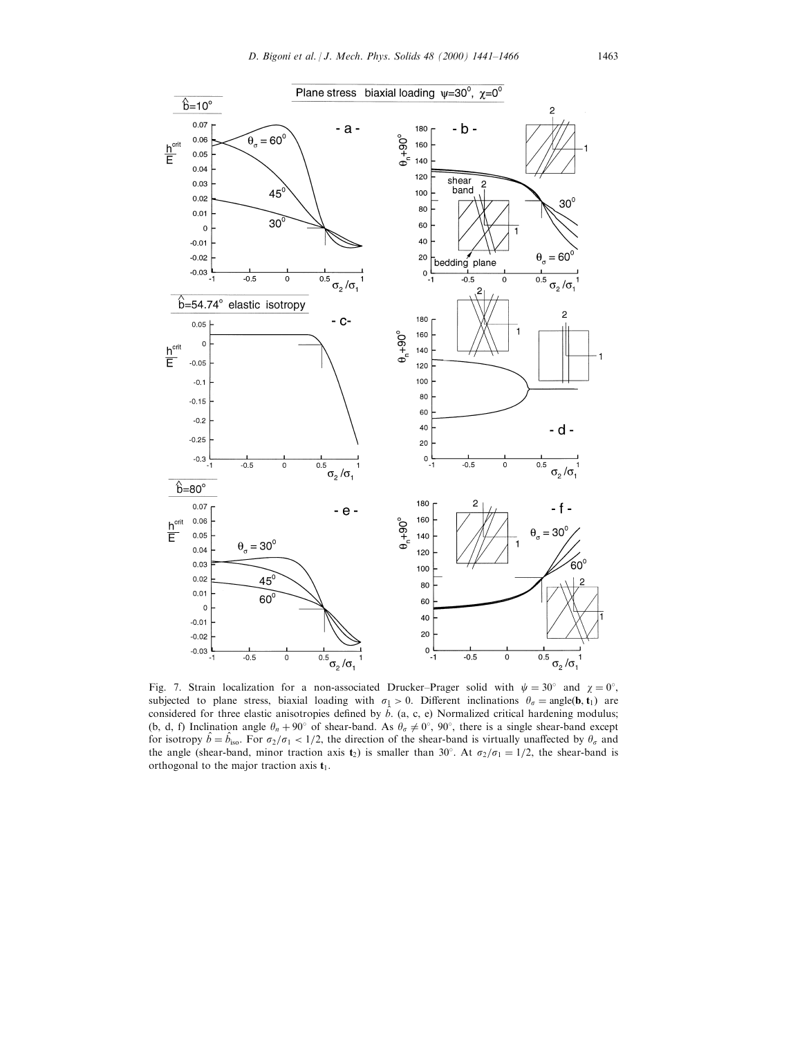

Fig. 7. Strain localization for a non-associated Drucker-Prager solid with  $\psi = 30^{\circ}$  and  $\chi = 0^{\circ}$ , subjected to plane stress, biaxial loading with  $\sigma_1 > 0$ . Different inclinations  $\theta_{\sigma} = \text{angle}(\mathbf{b}, \mathbf{t}_1)$  are considered for three elastic anisotropies defined by  $\hat{b}$ . (a, c, e) Normalized critical hardening modulus; (b, d, f) Inclination angle  $\theta_n + 90^\circ$  of shear-band. As  $\theta_\sigma \neq 0^\circ$ ,  $90^\circ$ , there is a single shear-band except for isotropy  $\hat{b} = \hat{b}_{\text{iso}}$ . For  $\sigma_2/\sigma_1 < 1/2$ , the direction of the shear-band is virtually unaffected by  $\theta_\sigma$  and the angle (shear-band, minor traction axis  $t_2$ ) is smaller than 30°. At  $\sigma_2/\sigma_1=1/2$ , the shear-band is orthogonal to the major traction axis  $t_1$ .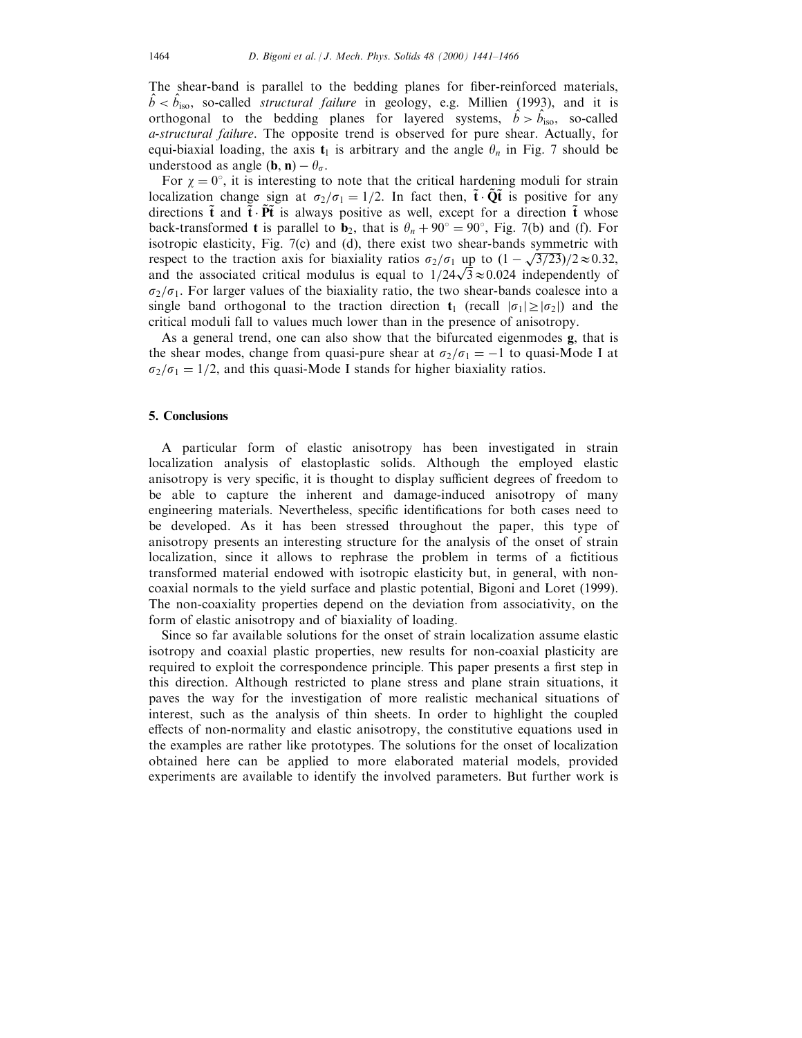The shear-band is parallel to the bedding planes for fiber-reinforced materials,  $\hat{b} < \hat{b}_{\text{iso}}$ , so-called *structural failure* in geology, e.g. Millien (1993), and it is orthogonal to the bedding planes for layered systems,  $\hat{b} > \hat{b}_{\text{iso}}$ , so-called a-structural failure. The opposite trend is observed for pure shear. Actually, for equi-biaxial loading, the axis  $t_1$  is arbitrary and the angle  $\theta_n$  in Fig. 7 should be understood as angle  $(\mathbf{b}, \mathbf{n}) - \theta_{\sigma}$ .

For  $\chi = 0^{\circ}$ , it is interesting to note that the critical hardening moduli for strain localization change sign at  $\sigma_2/\sigma_1=1/2$ . In fact then,  $\tilde{\mathbf{t}}\cdot\tilde{\mathbf{O}}\tilde{\mathbf{t}}$  is positive for any directions  $\tilde{\mathbf{t}}$  and  $\tilde{\mathbf{t}} \cdot \tilde{\mathbf{P}} \tilde{\mathbf{t}}$  is always positive as well, except for a direction  $\tilde{\mathbf{t}}$  whose back-transformed **t** is parallel to  $\mathbf{b}_2$ , that is  $\theta_n + 90^\circ = 90^\circ$ , Fig. 7(b) and (f). For isotropic elasticity, Fig. 7(c) and (d), there exist two shear-bands symmetric with respect to the traction axis for biaxiality ratios  $\sigma_2/\sigma_1$  up to  $(1 - \sqrt{3/23})/2 \approx 0.32$ , respect to the traction axis for biaxiality ratios  $\sigma_2/\sigma_1$  up to  $(1-\sqrt{3}/23)/2 \approx 0.32$ , and the associated critical modulus is equal to  $1/24\sqrt{3} \approx 0.024$  independently of  $\sigma_2/\sigma_1$ . For larger values of the biaxiality ratio, the two shear-bands coalesce into a single band orthogonal to the traction direction  $t_1$  (recall  $|\sigma_1| \geq |\sigma_2|$ ) and the critical moduli fall to values much lower than in the presence of anisotropy.

As a general trend, one can also show that the bifurcated eigenmodes g, that is the shear modes, change from quasi-pure shear at  $\sigma_2/\sigma_1 = -1$  to quasi-Mode I at  $\sigma_2/\sigma_1 = 1/2$ , and this quasi-Mode I stands for higher biaxiality ratios.

## 5. Conclusions

A particular form of elastic anisotropy has been investigated in strain localization analysis of elastoplastic solids. Although the employed elastic anisotropy is very specific, it is thought to display sufficient degrees of freedom to be able to capture the inherent and damage-induced anisotropy of many engineering materials. Nevertheless, specific identifications for both cases need to be developed. As it has been stressed throughout the paper, this type of anisotropy presents an interesting structure for the analysis of the onset of strain localization, since it allows to rephrase the problem in terms of a fictitious transformed material endowed with isotropic elasticity but, in general, with noncoaxial normals to the yield surface and plastic potential, Bigoni and Loret (1999). The non-coaxiality properties depend on the deviation from associativity, on the form of elastic anisotropy and of biaxiality of loading.

Since so far available solutions for the onset of strain localization assume elastic isotropy and coaxial plastic properties, new results for non-coaxial plasticity are required to exploit the correspondence principle. This paper presents a first step in this direction. Although restricted to plane stress and plane strain situations, it paves the way for the investigation of more realistic mechanical situations of interest, such as the analysis of thin sheets. In order to highlight the coupled effects of non-normality and elastic anisotropy, the constitutive equations used in the examples are rather like prototypes. The solutions for the onset of localization obtained here can be applied to more elaborated material models, provided experiments are available to identify the involved parameters. But further work is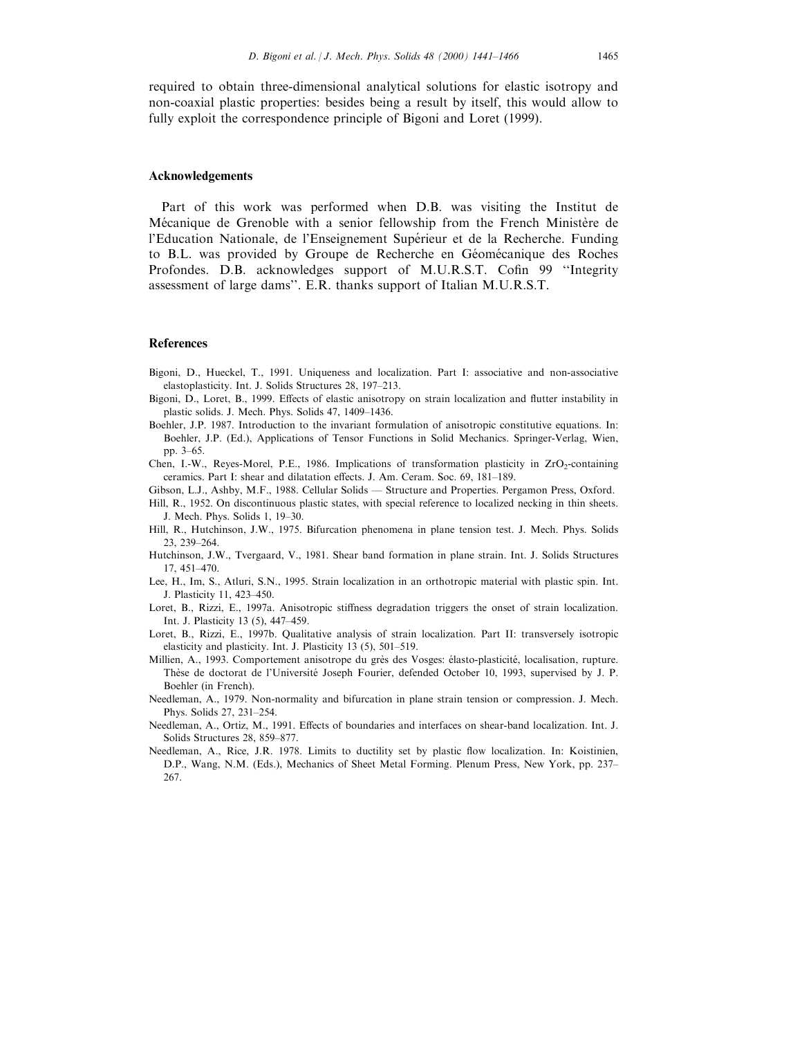required to obtain three-dimensional analytical solutions for elastic isotropy and non-coaxial plastic properties: besides being a result by itself, this would allow to fully exploit the correspondence principle of Bigoni and Loret (1999).

#### Acknowledgements

Part of this work was performed when D.B. was visiting the Institut de Mécanique de Grenoble with a senior fellowship from the French Ministère de l'Education Nationale, de l'Enseignement Supérieur et de la Recherche. Funding to B.L. was provided by Groupe de Recherche en Géomécanique des Roches Profondes. D.B. acknowledges support of M.U.R.S.T. Cofin 99 "Integrity assessment of large dams''. E.R. thanks support of Italian M.U.R.S.T.

## References

- Bigoni, D., Hueckel, T., 1991. Uniqueness and localization. Part I: associative and non-associative elastoplasticity. Int. J. Solids Structures 28, 197-213.
- Bigoni, D., Loret, B., 1999. Effects of elastic anisotropy on strain localization and flutter instability in plastic solids. J. Mech. Phys. Solids 47, 1409-1436.
- Boehler, J.P. 1987. Introduction to the invariant formulation of anisotropic constitutive equations. In: Boehler, J.P. (Ed.), Applications of Tensor Functions in Solid Mechanics. Springer-Verlag, Wien, pp. 3-65.
- Chen, I.-W., Reyes-Morel, P.E., 1986. Implications of transformation plasticity in  $ZrO<sub>2</sub>$ -containing ceramics. Part I: shear and dilatation effects. J. Am. Ceram. Soc. 69, 181-189.
- Gibson, L.J., Ashby, M.F., 1988. Cellular Solids Structure and Properties. Pergamon Press, Oxford.
- Hill, R., 1952. On discontinuous plastic states, with special reference to localized necking in thin sheets. J. Mech. Phys. Solids 1, 19-30.
- Hill, R., Hutchinson, J.W., 1975. Bifurcation phenomena in plane tension test. J. Mech. Phys. Solids 23, 239-264.
- Hutchinson, J.W., Tvergaard, V., 1981. Shear band formation in plane strain. Int. J. Solids Structures 17, 451±470.
- Lee, H., Im, S., Atluri, S.N., 1995. Strain localization in an orthotropic material with plastic spin. Int. J. Plasticity 11, 423-450.
- Loret, B., Rizzi, E., 1997a. Anisotropic stiffness degradation triggers the onset of strain localization. Int. J. Plasticity 13 (5), 447-459.
- Loret, B., Rizzi, E., 1997b. Qualitative analysis of strain localization. Part II: transversely isotropic elasticity and plasticity. Int. J. Plasticity  $13$  (5),  $501-519$ .
- Millien, A., 1993. Comportement anisotrope du grès des Vosges: élasto-plasticité, localisation, rupture. Thèse de doctorat de l'Université Joseph Fourier, defended October 10, 1993, supervised by J. P. Boehler (in French).
- Needleman, A., 1979. Non-normality and bifurcation in plane strain tension or compression. J. Mech. Phys. Solids 27, 231-254.
- Needleman, A., Ortiz, M., 1991. Effects of boundaries and interfaces on shear-band localization. Int. J. Solids Structures 28, 859-877.
- Needleman, A., Rice, J.R. 1978. Limits to ductility set by plastic flow localization. In: Koistinien, D.P., Wang, N.M. (Eds.), Mechanics of Sheet Metal Forming. Plenum Press, New York, pp. 237– 267.